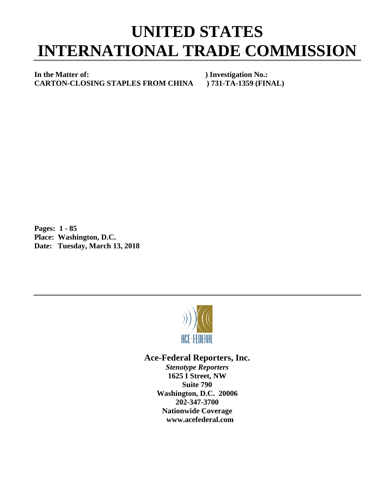## **UNITED STATES INTERNATIONAL TRADE COMMISSION**

**In the Matter of:** ) Investigation No.:<br>CARTON-CLOSING STAPLES FROM CHINA ) 731-TA-1359 (FINAL) **CARTON-CLOSING STAPLES FROM CHINA** 

**Pages: 1 - 85 Place: Washington, D.C. Date: Tuesday, March 13, 2018**



## **Ace-Federal Reporters, Inc.**

*Stenotype Reporters* **1625 I Street, NW Suite 790 Washington, D.C. 20006 202-347-3700 Nationwide Coverage www.acefederal.com**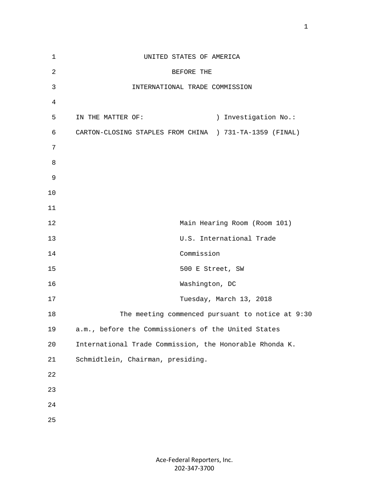| $\mathbf 1$    | UNITED STATES OF AMERICA                                |
|----------------|---------------------------------------------------------|
| $\overline{2}$ | BEFORE THE                                              |
| 3              | INTERNATIONAL TRADE COMMISSION                          |
| 4              |                                                         |
| 5              | ) Investigation No.:<br>IN THE MATTER OF:               |
| 6              | CARTON-CLOSING STAPLES FROM CHINA ) 731-TA-1359 (FINAL) |
| 7              |                                                         |
| 8              |                                                         |
| $\mathsf 9$    |                                                         |
| 10             |                                                         |
| 11             |                                                         |
| 12             | Main Hearing Room (Room 101)                            |
| 13             | U.S. International Trade                                |
| 14             | Commission                                              |
| 15             | 500 E Street, SW                                        |
| 16             | Washington, DC                                          |
| 17             | Tuesday, March 13, 2018                                 |
| 18             | The meeting commenced pursuant to notice at 9:30        |
| 19             | a.m., before the Commissioners of the United States     |
| 20             | International Trade Commission, the Honorable Rhonda K. |
| 21             | Schmidtlein, Chairman, presiding.                       |
| 22             |                                                         |
| 23             |                                                         |
| 24             |                                                         |
| 25             |                                                         |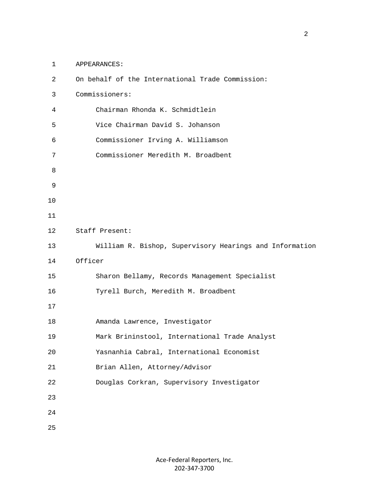1 APPEARANCES:

| $\overline{c}$ | On behalf of the International Trade Commission:        |
|----------------|---------------------------------------------------------|
| 3              | Commissioners:                                          |
| 4              | Chairman Rhonda K. Schmidtlein                          |
| 5              | Vice Chairman David S. Johanson                         |
| 6              | Commissioner Irving A. Williamson                       |
| 7              | Commissioner Meredith M. Broadbent                      |
| 8              |                                                         |
| 9              |                                                         |
| 10             |                                                         |
| 11             |                                                         |
| 12             | Staff Present:                                          |
| 13             | William R. Bishop, Supervisory Hearings and Information |
| 14             | Officer                                                 |
| 15             | Sharon Bellamy, Records Management Specialist           |
| 16             | Tyrell Burch, Meredith M. Broadbent                     |
| 17             |                                                         |
| 18             | Amanda Lawrence, Investigator                           |
| 19             | Mark Brininstool, International Trade Analyst           |
| 20             | Yasnanhia Cabral, International Economist               |
| 21             | Brian Allen, Attorney/Advisor                           |
| 22             | Douglas Corkran, Supervisory Investigator               |
| 23             |                                                         |
| 24             |                                                         |
| 25             |                                                         |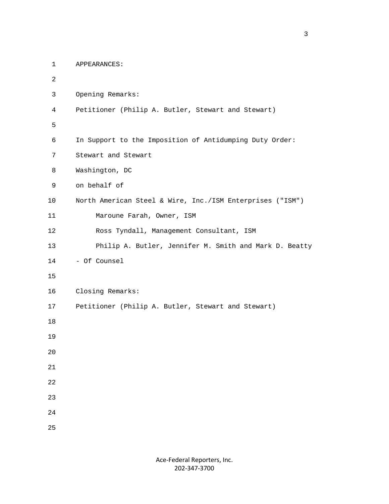```
 1 APPEARANCES:
2
         3 Opening Remarks:
         4 Petitioner (Philip A. Butler, Stewart and Stewart)
5
         6 In Support to the Imposition of Antidumping Duty Order:
         7 Stewart and Stewart
         8 Washington, DC
         9 on behalf of 
        10 North American Steel & Wire, Inc./ISM Enterprises ("ISM")
        11 Maroune Farah, Owner, ISM
        12 Ross Tyndall, Management Consultant, ISM
        13 Philip A. Butler, Jennifer M. Smith and Mark D. Beatty
        14 - Of Counsel
        15
        16 Closing Remarks:
        17 Petitioner (Philip A. Butler, Stewart and Stewart)
        18
        19
        20
        21
        22
        23
        24
        25
```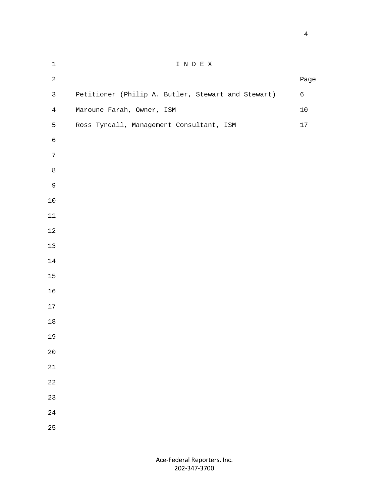| $\mathbf 1$    | I N D E X                                          |            |
|----------------|----------------------------------------------------|------------|
| $\overline{a}$ |                                                    | Page       |
| $\mathsf{3}$   | Petitioner (Philip A. Butler, Stewart and Stewart) | $\epsilon$ |
| $\overline{4}$ | Maroune Farah, Owner, ISM                          | $10$       |
| 5              | Ross Tyndall, Management Consultant, ISM           | $17\,$     |
| $\epsilon$     |                                                    |            |
| $\overline{7}$ |                                                    |            |
| $\,8\,$        |                                                    |            |
| $\mathsf 9$    |                                                    |            |
| $10\,$         |                                                    |            |
| $11\,$         |                                                    |            |
| $12\,$         |                                                    |            |
| $13$           |                                                    |            |
| 14             |                                                    |            |
| $15\,$         |                                                    |            |
| 16             |                                                    |            |
| 17             |                                                    |            |
| $18\,$         |                                                    |            |
| 19             |                                                    |            |
| $20\,$         |                                                    |            |
| $21\,$         |                                                    |            |
| $2\sqrt{2}$    |                                                    |            |
| 23             |                                                    |            |
| $2\sqrt{4}$    |                                                    |            |
| 25             |                                                    |            |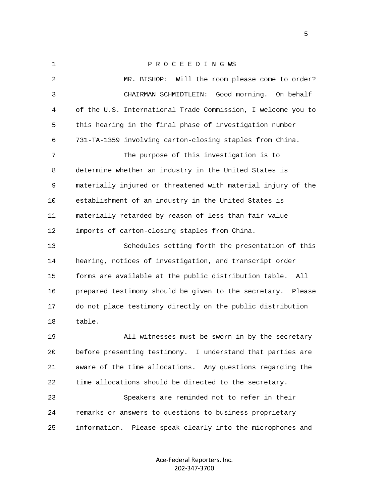| $\mathbf{1}$ | PROCEEDING WS                                                 |
|--------------|---------------------------------------------------------------|
| 2            | Will the room please come to order?<br>MR. BISHOP:            |
| 3            | Good morning. On behalf<br>CHAIRMAN SCHMIDTLEIN:              |
| 4            | of the U.S. International Trade Commission, I welcome you to  |
| 5            | this hearing in the final phase of investigation number       |
| 6            | 731-TA-1359 involving carton-closing staples from China.      |
| 7            | The purpose of this investigation is to                       |
| 8            | determine whether an industry in the United States is         |
| 9            | materially injured or threatened with material injury of the  |
| 10           | establishment of an industry in the United States is          |
| 11           | materially retarded by reason of less than fair value         |
| 12           | imports of carton-closing staples from China.                 |
| 13           | Schedules setting forth the presentation of this              |
| 14           | hearing, notices of investigation, and transcript order       |
| 15           | forms are available at the public distribution table. All     |
| 16           | prepared testimony should be given to the secretary. Please   |
| 17           | do not place testimony directly on the public distribution    |
| 18           | table.                                                        |
| 19           | All witnesses must be sworn in by the secretary               |
| 20           | before presenting testimony. I understand that parties are    |
| 21           | aware of the time allocations. Any questions regarding the    |
| 22           | time allocations should be directed to the secretary.         |
| 23           | Speakers are reminded not to refer in their                   |
| 24           | remarks or answers to questions to business proprietary       |
| 25           | Please speak clearly into the microphones and<br>information. |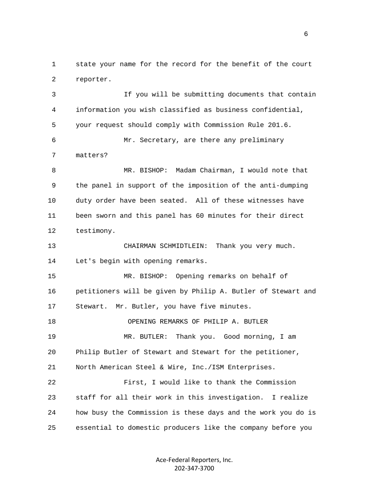1 state your name for the record for the benefit of the court 2 reporter.

 3 If you will be submitting documents that contain 4 information you wish classified as business confidential, 5 your request should comply with Commission Rule 201.6. 6 Mr. Secretary, are there any preliminary 7 matters? 8 MR. BISHOP: Madam Chairman, I would note that 9 the panel in support of the imposition of the anti-dumping 10 duty order have been seated. All of these witnesses have 11 been sworn and this panel has 60 minutes for their direct 12 testimony. 13 CHAIRMAN SCHMIDTLEIN: Thank you very much. 14 Let's begin with opening remarks. 15 MR. BISHOP: Opening remarks on behalf of 16 petitioners will be given by Philip A. Butler of Stewart and 17 Stewart. Mr. Butler, you have five minutes. 18 OPENING REMARKS OF PHILIP A. BUTLER 19 MR. BUTLER: Thank you. Good morning, I am 20 Philip Butler of Stewart and Stewart for the petitioner, 21 North American Steel & Wire, Inc./ISM Enterprises. 22 First, I would like to thank the Commission 23 staff for all their work in this investigation. I realize 24 how busy the Commission is these days and the work you do is 25 essential to domestic producers like the company before you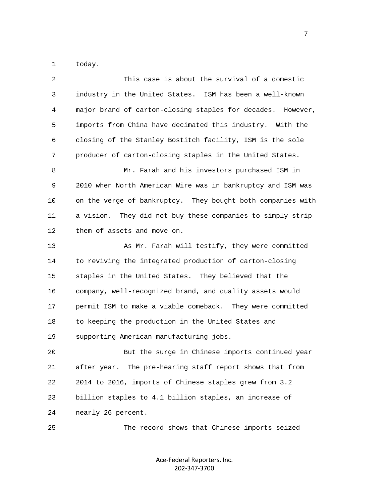1 today.

| 2  | This case is about the survival of a domestic               |
|----|-------------------------------------------------------------|
| 3  | industry in the United States. ISM has been a well-known    |
| 4  | major brand of carton-closing staples for decades. However, |
| 5  | imports from China have decimated this industry. With the   |
| 6  | closing of the Stanley Bostitch facility, ISM is the sole   |
| 7  | producer of carton-closing staples in the United States.    |
| 8  | Mr. Farah and his investors purchased ISM in                |
| 9  | 2010 when North American Wire was in bankruptcy and ISM was |
| 10 | on the verge of bankruptcy. They bought both companies with |
| 11 | a vision. They did not buy these companies to simply strip  |
| 12 | them of assets and move on.                                 |
| 13 | As Mr. Farah will testify, they were committed              |
| 14 | to reviving the integrated production of carton-closing     |
| 15 | staples in the United States. They believed that the        |
| 16 | company, well-recognized brand, and quality assets would    |
| 17 | permit ISM to make a viable comeback. They were committed   |
| 18 | to keeping the production in the United States and          |
| 19 | supporting American manufacturing jobs.                     |
| 20 | But the surge in Chinese imports continued year             |
| 21 | after year. The pre-hearing staff report shows that from    |
| 22 | 2014 to 2016, imports of Chinese staples grew from 3.2      |
| 23 | billion staples to 4.1 billion staples, an increase of      |
| 24 | nearly 26 percent.                                          |
| 25 | The record shows that Chinese imports seized                |

Ace-Federal Reporters, Inc. 202-347-3700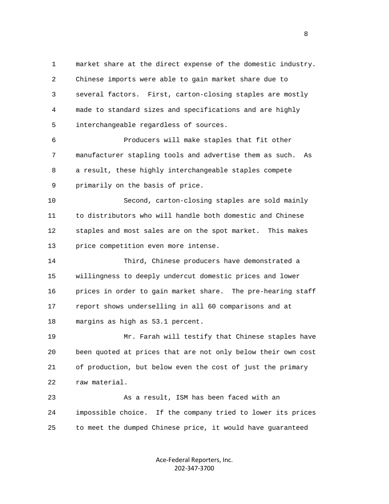1 market share at the direct expense of the domestic industry. 2 Chinese imports were able to gain market share due to 3 several factors. First, carton-closing staples are mostly 4 made to standard sizes and specifications and are highly 5 interchangeable regardless of sources.

 6 Producers will make staples that fit other 7 manufacturer stapling tools and advertise them as such. As 8 a result, these highly interchangeable staples compete 9 primarily on the basis of price.

 10 Second, carton-closing staples are sold mainly 11 to distributors who will handle both domestic and Chinese 12 staples and most sales are on the spot market. This makes 13 price competition even more intense.

 14 Third, Chinese producers have demonstrated a 15 willingness to deeply undercut domestic prices and lower 16 prices in order to gain market share. The pre-hearing staff 17 report shows underselling in all 60 comparisons and at 18 margins as high as 53.1 percent.

 19 Mr. Farah will testify that Chinese staples have 20 been quoted at prices that are not only below their own cost 21 of production, but below even the cost of just the primary 22 raw material.

 23 As a result, ISM has been faced with an 24 impossible choice. If the company tried to lower its prices 25 to meet the dumped Chinese price, it would have guaranteed

> Ace-Federal Reporters, Inc. 202-347-3700

en andere en de la provincia de la provincia de la provincia de la provincia de la provincia de la provincia d<br>En 1990, en la provincia de la provincia de la provincia de la provincia de la provincia de la provincia de la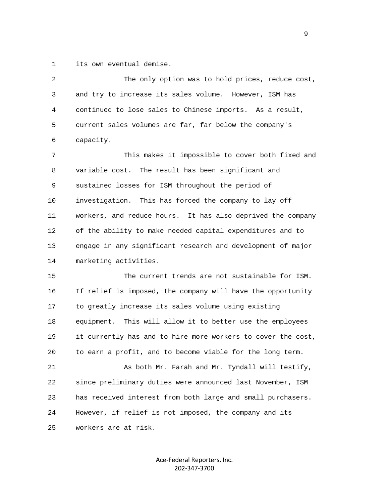1 its own eventual demise.

 2 The only option was to hold prices, reduce cost, 3 and try to increase its sales volume. However, ISM has 4 continued to lose sales to Chinese imports. As a result, 5 current sales volumes are far, far below the company's 6 capacity.

 7 This makes it impossible to cover both fixed and 8 variable cost. The result has been significant and 9 sustained losses for ISM throughout the period of 10 investigation. This has forced the company to lay off 11 workers, and reduce hours. It has also deprived the company 12 of the ability to make needed capital expenditures and to 13 engage in any significant research and development of major 14 marketing activities.

 15 The current trends are not sustainable for ISM. 16 If relief is imposed, the company will have the opportunity 17 to greatly increase its sales volume using existing 18 equipment. This will allow it to better use the employees 19 it currently has and to hire more workers to cover the cost, 20 to earn a profit, and to become viable for the long term.

 21 As both Mr. Farah and Mr. Tyndall will testify, 22 since preliminary duties were announced last November, ISM 23 has received interest from both large and small purchasers. 24 However, if relief is not imposed, the company and its 25 workers are at risk.

> Ace-Federal Reporters, Inc. 202-347-3700

 $\sim$  9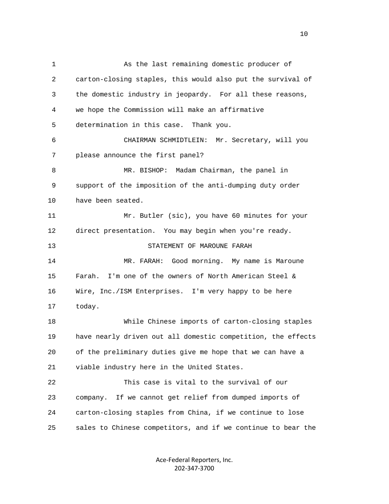1 As the last remaining domestic producer of 2 carton-closing staples, this would also put the survival of 3 the domestic industry in jeopardy. For all these reasons, 4 we hope the Commission will make an affirmative 5 determination in this case. Thank you. 6 CHAIRMAN SCHMIDTLEIN: Mr. Secretary, will you 7 please announce the first panel? 8 MR. BISHOP: Madam Chairman, the panel in 9 support of the imposition of the anti-dumping duty order 10 have been seated. 11 Mr. Butler (sic), you have 60 minutes for your 12 direct presentation. You may begin when you're ready. 13 STATEMENT OF MAROUNE FARAH 14 MR. FARAH: Good morning. My name is Maroune 15 Farah. I'm one of the owners of North American Steel & 16 Wire, Inc./ISM Enterprises. I'm very happy to be here 17 today. 18 While Chinese imports of carton-closing staples 19 have nearly driven out all domestic competition, the effects 20 of the preliminary duties give me hope that we can have a 21 viable industry here in the United States. 22 This case is vital to the survival of our 23 company. If we cannot get relief from dumped imports of 24 carton-closing staples from China, if we continue to lose 25 sales to Chinese competitors, and if we continue to bear the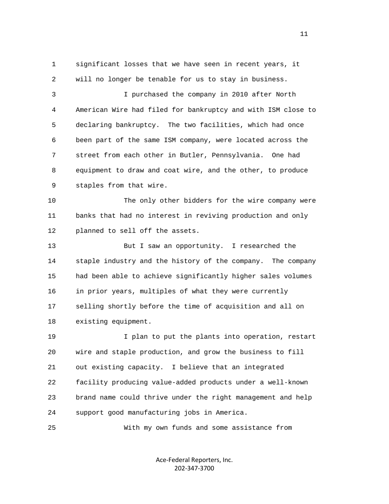1 significant losses that we have seen in recent years, it 2 will no longer be tenable for us to stay in business.

 3 I purchased the company in 2010 after North 4 American Wire had filed for bankruptcy and with ISM close to 5 declaring bankruptcy. The two facilities, which had once 6 been part of the same ISM company, were located across the 7 street from each other in Butler, Pennsylvania. One had 8 equipment to draw and coat wire, and the other, to produce 9 staples from that wire.

 10 The only other bidders for the wire company were 11 banks that had no interest in reviving production and only 12 planned to sell off the assets.

 13 But I saw an opportunity. I researched the 14 staple industry and the history of the company. The company 15 had been able to achieve significantly higher sales volumes 16 in prior years, multiples of what they were currently 17 selling shortly before the time of acquisition and all on 18 existing equipment.

 19 I plan to put the plants into operation, restart 20 wire and staple production, and grow the business to fill 21 out existing capacity. I believe that an integrated 22 facility producing value-added products under a well-known 23 brand name could thrive under the right management and help 24 support good manufacturing jobs in America.

25 With my own funds and some assistance from

Ace-Federal Reporters, Inc. 202-347-3700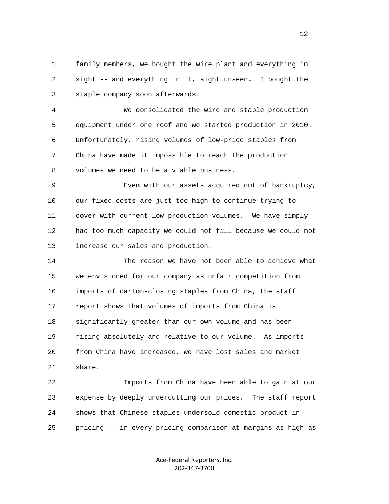1 family members, we bought the wire plant and everything in 2 sight -- and everything in it, sight unseen. I bought the 3 staple company soon afterwards.

 4 We consolidated the wire and staple production 5 equipment under one roof and we started production in 2010. 6 Unfortunately, rising volumes of low-price staples from 7 China have made it impossible to reach the production 8 volumes we need to be a viable business.

 9 Even with our assets acquired out of bankruptcy, 10 our fixed costs are just too high to continue trying to 11 cover with current low production volumes. We have simply 12 had too much capacity we could not fill because we could not 13 increase our sales and production.

 14 The reason we have not been able to achieve what 15 we envisioned for our company as unfair competition from 16 imports of carton-closing staples from China, the staff 17 report shows that volumes of imports from China is 18 significantly greater than our own volume and has been 19 rising absolutely and relative to our volume. As imports 20 from China have increased, we have lost sales and market 21 share.

 22 Imports from China have been able to gain at our 23 expense by deeply undercutting our prices. The staff report 24 shows that Chinese staples undersold domestic product in 25 pricing -- in every pricing comparison at margins as high as

> Ace-Federal Reporters, Inc. 202-347-3700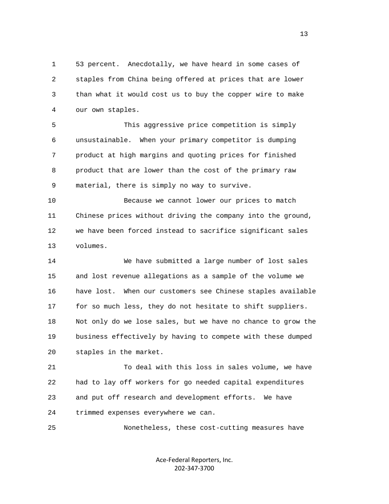1 53 percent. Anecdotally, we have heard in some cases of 2 staples from China being offered at prices that are lower 3 than what it would cost us to buy the copper wire to make 4 our own staples.

 5 This aggressive price competition is simply 6 unsustainable. When your primary competitor is dumping 7 product at high margins and quoting prices for finished 8 product that are lower than the cost of the primary raw 9 material, there is simply no way to survive.

 10 Because we cannot lower our prices to match 11 Chinese prices without driving the company into the ground, 12 we have been forced instead to sacrifice significant sales 13 volumes.

 14 We have submitted a large number of lost sales 15 and lost revenue allegations as a sample of the volume we 16 have lost. When our customers see Chinese staples available 17 for so much less, they do not hesitate to shift suppliers. 18 Not only do we lose sales, but we have no chance to grow the 19 business effectively by having to compete with these dumped 20 staples in the market.

 21 To deal with this loss in sales volume, we have 22 had to lay off workers for go needed capital expenditures 23 and put off research and development efforts. We have 24 trimmed expenses everywhere we can.

25 Nonetheless, these cost-cutting measures have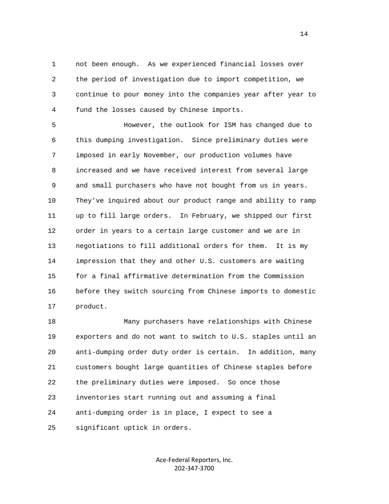1 not been enough. As we experienced financial losses over 2 the period of investigation due to import competition, we 3 continue to pour money into the companies year after year to 4 fund the losses caused by Chinese imports.

 5 However, the outlook for ISM has changed due to 6 this dumping investigation. Since preliminary duties were 7 imposed in early November, our production volumes have 8 increased and we have received interest from several large 9 and small purchasers who have not bought from us in years. 10 They've inquired about our product range and ability to ramp 11 up to fill large orders. In February, we shipped our first 12 order in years to a certain large customer and we are in 13 negotiations to fill additional orders for them. It is my 14 impression that they and other U.S. customers are waiting 15 for a final affirmative determination from the Commission 16 before they switch sourcing from Chinese imports to domestic 17 product.

 18 Many purchasers have relationships with Chinese 19 exporters and do not want to switch to U.S. staples until an 20 anti-dumping order duty order is certain. In addition, many 21 customers bought large quantities of Chinese staples before 22 the preliminary duties were imposed. So once those 23 inventories start running out and assuming a final 24 anti-dumping order is in place, I expect to see a 25 significant uptick in orders.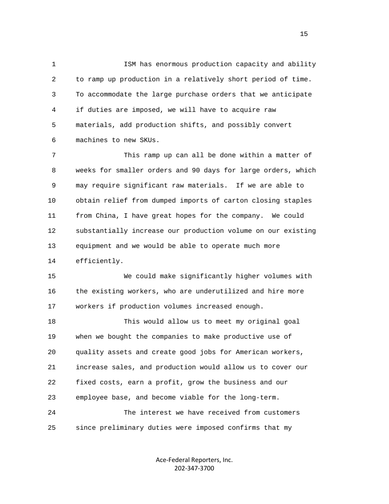1 ISM has enormous production capacity and ability 2 to ramp up production in a relatively short period of time. 3 To accommodate the large purchase orders that we anticipate 4 if duties are imposed, we will have to acquire raw 5 materials, add production shifts, and possibly convert 6 machines to new SKUs.

 7 This ramp up can all be done within a matter of 8 weeks for smaller orders and 90 days for large orders, which 9 may require significant raw materials. If we are able to 10 obtain relief from dumped imports of carton closing staples 11 from China, I have great hopes for the company. We could 12 substantially increase our production volume on our existing 13 equipment and we would be able to operate much more 14 efficiently.

 15 We could make significantly higher volumes with 16 the existing workers, who are underutilized and hire more 17 workers if production volumes increased enough.

 18 This would allow us to meet my original goal 19 when we bought the companies to make productive use of 20 quality assets and create good jobs for American workers, 21 increase sales, and production would allow us to cover our 22 fixed costs, earn a profit, grow the business and our 23 employee base, and become viable for the long-term. 24 The interest we have received from customers

25 since preliminary duties were imposed confirms that my

Ace-Federal Reporters, Inc. 202-347-3700

the contract of the contract of the contract of the contract of the contract of the contract of the contract of the contract of the contract of the contract of the contract of the contract of the contract of the contract o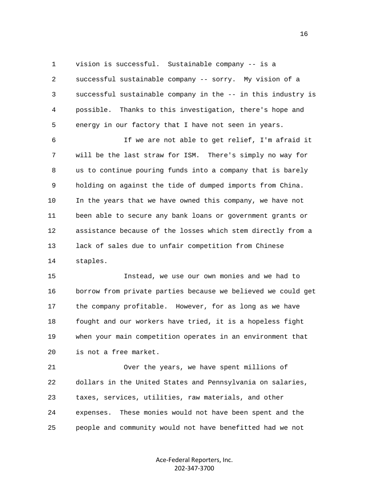1 vision is successful. Sustainable company -- is a 2 successful sustainable company -- sorry. My vision of a 3 successful sustainable company in the -- in this industry is 4 possible. Thanks to this investigation, there's hope and 5 energy in our factory that I have not seen in years.

 6 If we are not able to get relief, I'm afraid it 7 will be the last straw for ISM. There's simply no way for 8 us to continue pouring funds into a company that is barely 9 holding on against the tide of dumped imports from China. 10 In the years that we have owned this company, we have not 11 been able to secure any bank loans or government grants or 12 assistance because of the losses which stem directly from a 13 lack of sales due to unfair competition from Chinese 14 staples.

 15 Instead, we use our own monies and we had to 16 borrow from private parties because we believed we could get 17 the company profitable. However, for as long as we have 18 fought and our workers have tried, it is a hopeless fight 19 when your main competition operates in an environment that 20 is not a free market.

 21 Over the years, we have spent millions of 22 dollars in the United States and Pennsylvania on salaries, 23 taxes, services, utilities, raw materials, and other 24 expenses. These monies would not have been spent and the 25 people and community would not have benefitted had we not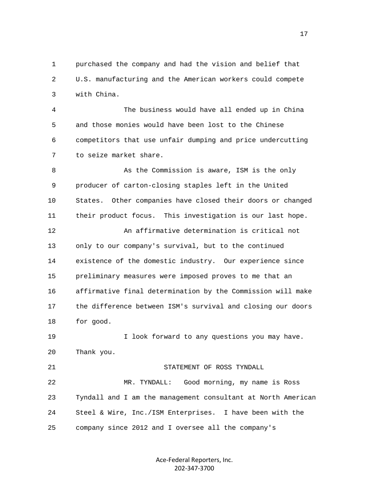1 purchased the company and had the vision and belief that 2 U.S. manufacturing and the American workers could compete 3 with China.

 4 The business would have all ended up in China 5 and those monies would have been lost to the Chinese 6 competitors that use unfair dumping and price undercutting 7 to seize market share.

 8 As the Commission is aware, ISM is the only 9 producer of carton-closing staples left in the United 10 States. Other companies have closed their doors or changed 11 their product focus. This investigation is our last hope. 12 An affirmative determination is critical not 13 only to our company's survival, but to the continued 14 existence of the domestic industry. Our experience since 15 preliminary measures were imposed proves to me that an 16 affirmative final determination by the Commission will make 17 the difference between ISM's survival and closing our doors 18 for good. 19 I look forward to any questions you may have. 20 Thank you. 21 STATEMENT OF ROSS TYNDALL

 22 MR. TYNDALL: Good morning, my name is Ross 23 Tyndall and I am the management consultant at North American 24 Steel & Wire, Inc./ISM Enterprises. I have been with the 25 company since 2012 and I oversee all the company's

> Ace-Federal Reporters, Inc. 202-347-3700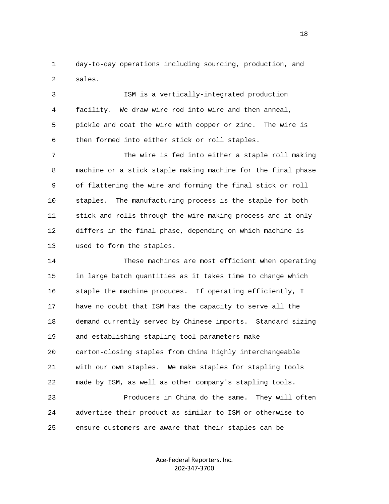1 day-to-day operations including sourcing, production, and 2 sales.

 3 ISM is a vertically-integrated production 4 facility. We draw wire rod into wire and then anneal, 5 pickle and coat the wire with copper or zinc. The wire is 6 then formed into either stick or roll staples.

 7 The wire is fed into either a staple roll making 8 machine or a stick staple making machine for the final phase 9 of flattening the wire and forming the final stick or roll 10 staples. The manufacturing process is the staple for both 11 stick and rolls through the wire making process and it only 12 differs in the final phase, depending on which machine is 13 used to form the staples.

 14 These machines are most efficient when operating 15 in large batch quantities as it takes time to change which 16 staple the machine produces. If operating efficiently, I 17 have no doubt that ISM has the capacity to serve all the 18 demand currently served by Chinese imports. Standard sizing 19 and establishing stapling tool parameters make 20 carton-closing staples from China highly interchangeable 21 with our own staples. We make staples for stapling tools 22 made by ISM, as well as other company's stapling tools.

 23 Producers in China do the same. They will often 24 advertise their product as similar to ISM or otherwise to 25 ensure customers are aware that their staples can be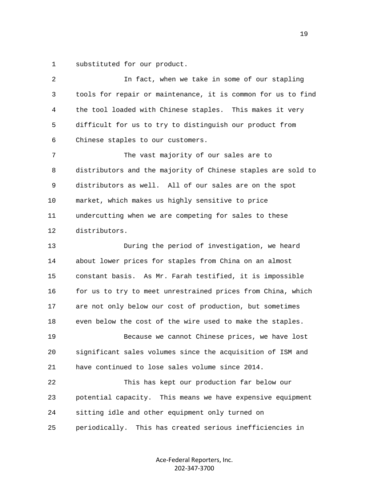1 substituted for our product.

| 2  | In fact, when we take in some of our stapling                |
|----|--------------------------------------------------------------|
| 3  | tools for repair or maintenance, it is common for us to find |
| 4  | the tool loaded with Chinese staples. This makes it very     |
| 5  | difficult for us to try to distinguish our product from      |
| 6  | Chinese staples to our customers.                            |
| 7  | The vast majority of our sales are to                        |
| 8  | distributors and the majority of Chinese staples are sold to |
| 9  | distributors as well. All of our sales are on the spot       |
| 10 | market, which makes us highly sensitive to price             |
| 11 | undercutting when we are competing for sales to these        |
| 12 | distributors.                                                |
| 13 | During the period of investigation, we heard                 |
| 14 | about lower prices for staples from China on an almost       |
| 15 | constant basis. As Mr. Farah testified, it is impossible     |
| 16 | for us to try to meet unrestrained prices from China, which  |
| 17 | are not only below our cost of production, but sometimes     |
| 18 | even below the cost of the wire used to make the staples.    |
| 19 | Because we cannot Chinese prices, we have lost               |
| 20 | significant sales volumes since the acquisition of ISM and   |
| 21 | have continued to lose sales volume since 2014.              |
| 22 | This has kept our production far below our                   |
| 23 | potential capacity. This means we have expensive equipment   |
| 24 | sitting idle and other equipment only turned on              |
| 25 | periodically. This has created serious inefficiencies in     |
|    |                                                              |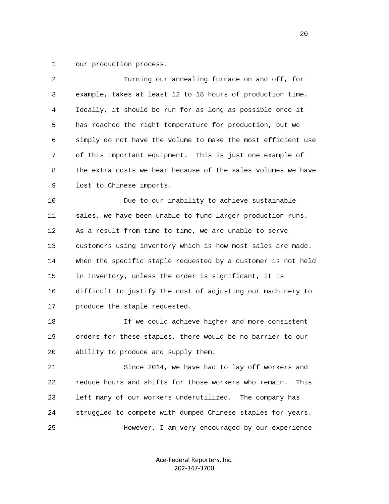1 our production process.

| $\overline{2}$ | Turning our annealing furnace on and off, for                 |
|----------------|---------------------------------------------------------------|
| 3              | example, takes at least 12 to 18 hours of production time.    |
| 4              | Ideally, it should be run for as long as possible once it     |
| 5              | has reached the right temperature for production, but we      |
| 6              | simply do not have the volume to make the most efficient use  |
| 7              | of this important equipment. This is just one example of      |
| 8              | the extra costs we bear because of the sales volumes we have  |
| 9              | lost to Chinese imports.                                      |
| 10             | Due to our inability to achieve sustainable                   |
| 11             | sales, we have been unable to fund larger production runs.    |
| 12             | As a result from time to time, we are unable to serve         |
| 13             | customers using inventory which is how most sales are made.   |
| 14             | When the specific staple requested by a customer is not held  |
| 15             | in inventory, unless the order is significant, it is          |
| 16             | difficult to justify the cost of adjusting our machinery to   |
| 17             | produce the staple requested.                                 |
| 18             | If we could achieve higher and more consistent                |
| 19             | orders for these staples, there would be no barrier to our    |
| 20             | ability to produce and supply them.                           |
| 21             | Since 2014, we have had to lay off workers and                |
| 22             | reduce hours and shifts for those workers who remain.<br>This |
| 23             | left many of our workers underutilized. The company has       |
| 24             | struggled to compete with dumped Chinese staples for years.   |
| 25             | However, I am very encouraged by our experience               |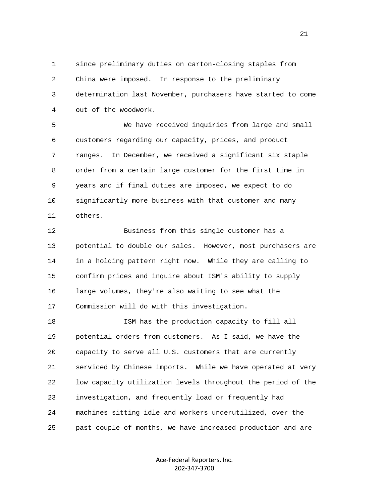1 since preliminary duties on carton-closing staples from 2 China were imposed. In response to the preliminary 3 determination last November, purchasers have started to come 4 out of the woodwork.

 5 We have received inquiries from large and small 6 customers regarding our capacity, prices, and product 7 ranges. In December, we received a significant six staple 8 order from a certain large customer for the first time in 9 years and if final duties are imposed, we expect to do 10 significantly more business with that customer and many 11 others.

 12 Business from this single customer has a 13 potential to double our sales. However, most purchasers are 14 in a holding pattern right now. While they are calling to 15 confirm prices and inquire about ISM's ability to supply 16 large volumes, they're also waiting to see what the 17 Commission will do with this investigation.

 18 ISM has the production capacity to fill all 19 potential orders from customers. As I said, we have the 20 capacity to serve all U.S. customers that are currently 21 serviced by Chinese imports. While we have operated at very 22 low capacity utilization levels throughout the period of the 23 investigation, and frequently load or frequently had 24 machines sitting idle and workers underutilized, over the 25 past couple of months, we have increased production and are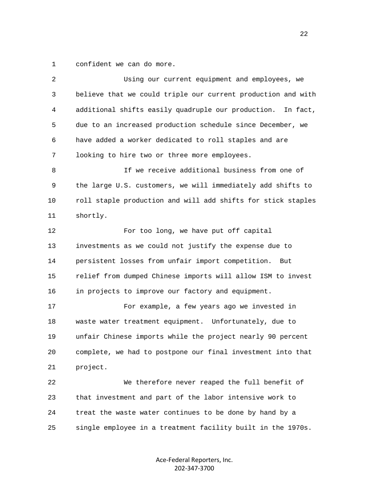1 confident we can do more.

| 2  | Using our current equipment and employees, we                  |
|----|----------------------------------------------------------------|
| 3  | believe that we could triple our current production and with   |
| 4  | additional shifts easily quadruple our production.<br>In fact, |
| 5  | due to an increased production schedule since December, we     |
| 6  | have added a worker dedicated to roll staples and are          |
| 7  | looking to hire two or three more employees.                   |
| 8  | If we receive additional business from one of                  |
| 9  | the large U.S. customers, we will immediately add shifts to    |
| 10 | roll staple production and will add shifts for stick staples   |
| 11 | shortly.                                                       |
| 12 | For too long, we have put off capital                          |
| 13 | investments as we could not justify the expense due to         |
| 14 | persistent losses from unfair import competition. But          |
| 15 | relief from dumped Chinese imports will allow ISM to invest    |
| 16 | in projects to improve our factory and equipment.              |
| 17 | For example, a few years ago we invested in                    |
| 18 | waste water treatment equipment. Unfortunately, due to         |
| 19 | unfair Chinese imports while the project nearly 90 percent     |
| 20 | complete, we had to postpone our final investment into that    |
| 21 | project.                                                       |
| 22 | We therefore never reaped the full benefit of                  |
| 23 | that investment and part of the labor intensive work to        |
| 24 | treat the waste water continues to be done by hand by a        |
| 25 | single employee in a treatment facility built in the 1970s.    |
|    |                                                                |

Ace-Federal Reporters, Inc. 202-347-3700

22 and 22 and 23 and 23 and 23 and 23 and 23 and 23 and 23 and 23 and 23 and 23 and 23 and 23 and 23 and 24 and 25 and 25 and 26 and 26 and 26 and 26 and 26 and 26 and 26 and 26 and 26 and 26 and 26 and 26 and 26 and 26 an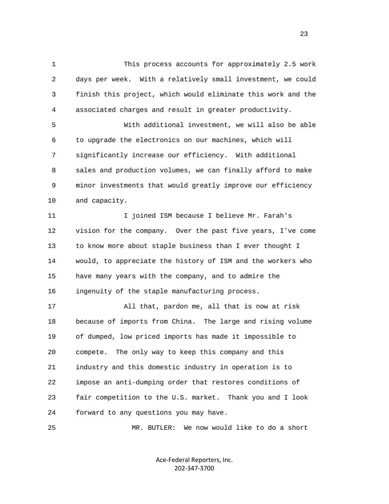1 This process accounts for approximately 2.5 work 2 days per week. With a relatively small investment, we could 3 finish this project, which would eliminate this work and the 4 associated charges and result in greater productivity.

 5 With additional investment, we will also be able 6 to upgrade the electronics on our machines, which will 7 significantly increase our efficiency. With additional 8 sales and production volumes, we can finally afford to make 9 minor investments that would greatly improve our efficiency 10 and capacity.

 11 I joined ISM because I believe Mr. Farah's 12 vision for the company. Over the past five years, I've come 13 to know more about staple business than I ever thought I 14 would, to appreciate the history of ISM and the workers who 15 have many years with the company, and to admire the 16 ingenuity of the staple manufacturing process.

 17 All that, pardon me, all that is now at risk 18 because of imports from China. The large and rising volume 19 of dumped, low priced imports has made it impossible to 20 compete. The only way to keep this company and this 21 industry and this domestic industry in operation is to 22 impose an anti-dumping order that restores conditions of 23 fair competition to the U.S. market. Thank you and I look 24 forward to any questions you may have.

25 MR. BUTLER: We now would like to do a short

Ace-Federal Reporters, Inc. 202-347-3700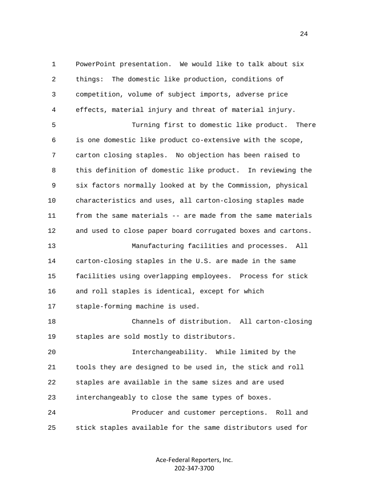1 PowerPoint presentation. We would like to talk about six 2 things: The domestic like production, conditions of 3 competition, volume of subject imports, adverse price 4 effects, material injury and threat of material injury. 5 Turning first to domestic like product. There 6 is one domestic like product co-extensive with the scope, 7 carton closing staples. No objection has been raised to 8 this definition of domestic like product. In reviewing the 9 six factors normally looked at by the Commission, physical 10 characteristics and uses, all carton-closing staples made 11 from the same materials -- are made from the same materials 12 and used to close paper board corrugated boxes and cartons. 13 Manufacturing facilities and processes. All 14 carton-closing staples in the U.S. are made in the same 15 facilities using overlapping employees. Process for stick 16 and roll staples is identical, except for which 17 staple-forming machine is used. 18 Channels of distribution. All carton-closing 19 staples are sold mostly to distributors. 20 Interchangeability. While limited by the 21 tools they are designed to be used in, the stick and roll 22 staples are available in the same sizes and are used 23 interchangeably to close the same types of boxes. 24 Producer and customer perceptions. Roll and 25 stick staples available for the same distributors used for

> Ace-Federal Reporters, Inc. 202-347-3700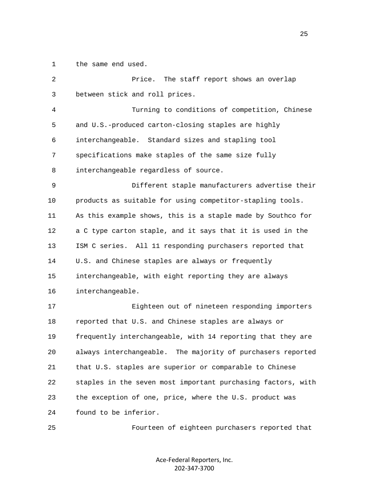1 the same end used.

| 2              | Price.<br>The staff report shows an overlap                    |
|----------------|----------------------------------------------------------------|
| 3              | between stick and roll prices.                                 |
| $\overline{4}$ | Turning to conditions of competition, Chinese                  |
| 5              | and U.S.-produced carton-closing staples are highly            |
| 6              | interchangeable. Standard sizes and stapling tool              |
| 7              | specifications make staples of the same size fully             |
| 8              | interchangeable regardless of source.                          |
| 9              | Different staple manufacturers advertise their                 |
| 10             | products as suitable for using competitor-stapling tools.      |
| 11             | As this example shows, this is a staple made by Southco for    |
| 12             | a C type carton staple, and it says that it is used in the     |
| 13             | ISM C series. All 11 responding purchasers reported that       |
| 14             | U.S. and Chinese staples are always or frequently              |
| 15             | interchangeable, with eight reporting they are always          |
| 16             | interchangeable.                                               |
| 17             | Eighteen out of nineteen responding importers                  |
| 18             | reported that U.S. and Chinese staples are always or           |
| 19             | frequently interchangeable, with 14 reporting that they are    |
| 20             | always interchangeable.<br>The majority of purchasers reported |
| 21             | that U.S. staples are superior or comparable to Chinese        |
| 22             | staples in the seven most important purchasing factors, with   |
| 23             | the exception of one, price, where the U.S. product was        |
| 24             | found to be inferior.                                          |
| 25             | Fourteen of eighteen purchasers reported that                  |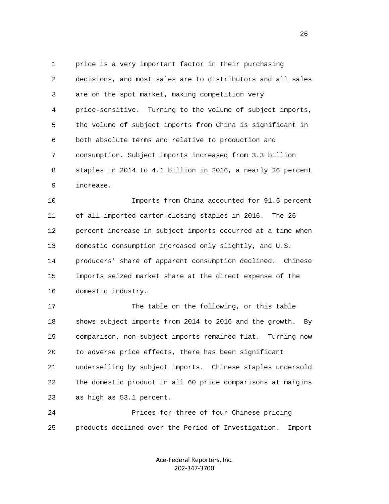1 price is a very important factor in their purchasing 2 decisions, and most sales are to distributors and all sales 3 are on the spot market, making competition very 4 price-sensitive. Turning to the volume of subject imports, 5 the volume of subject imports from China is significant in 6 both absolute terms and relative to production and 7 consumption. Subject imports increased from 3.3 billion 8 staples in 2014 to 4.1 billion in 2016, a nearly 26 percent 9 increase.

 10 Imports from China accounted for 91.5 percent 11 of all imported carton-closing staples in 2016. The 26 12 percent increase in subject imports occurred at a time when 13 domestic consumption increased only slightly, and U.S. 14 producers' share of apparent consumption declined. Chinese 15 imports seized market share at the direct expense of the 16 domestic industry.

17 The table on the following, or this table 18 shows subject imports from 2014 to 2016 and the growth. By 19 comparison, non-subject imports remained flat. Turning now 20 to adverse price effects, there has been significant 21 underselling by subject imports. Chinese staples undersold 22 the domestic product in all 60 price comparisons at margins 23 as high as 53.1 percent.

 24 Prices for three of four Chinese pricing 25 products declined over the Period of Investigation. Import

> Ace-Federal Reporters, Inc. 202-347-3700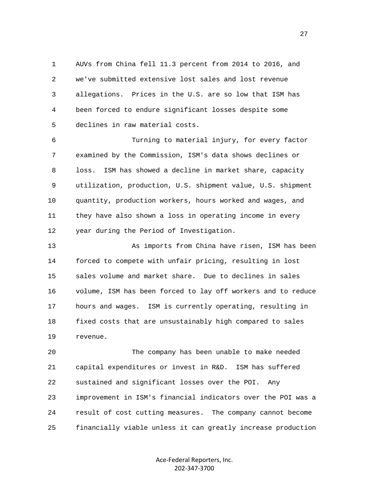1 AUVs from China fell 11.3 percent from 2014 to 2016, and 2 we've submitted extensive lost sales and lost revenue 3 allegations. Prices in the U.S. are so low that ISM has 4 been forced to endure significant losses despite some 5 declines in raw material costs.

 6 Turning to material injury, for every factor 7 examined by the Commission, ISM's data shows declines or 8 loss. ISM has showed a decline in market share, capacity 9 utilization, production, U.S. shipment value, U.S. shipment 10 quantity, production workers, hours worked and wages, and 11 they have also shown a loss in operating income in every 12 year during the Period of Investigation.

 13 As imports from China have risen, ISM has been 14 forced to compete with unfair pricing, resulting in lost 15 sales volume and market share. Due to declines in sales 16 volume, ISM has been forced to lay off workers and to reduce 17 hours and wages. ISM is currently operating, resulting in 18 fixed costs that are unsustainably high compared to sales 19 revenue.

 20 The company has been unable to make needed 21 capital expenditures or invest in R&D. ISM has suffered 22 sustained and significant losses over the POI. Any 23 improvement in ISM's financial indicators over the POI was a 24 result of cost cutting measures. The company cannot become 25 financially viable unless it can greatly increase production

> Ace-Federal Reporters, Inc. 202-347-3700

27 and 27 and 27 and 27 and 27 and 27 and 27 and 27 and 27 and 27 and 27 and 27 and 27 and 27 and 27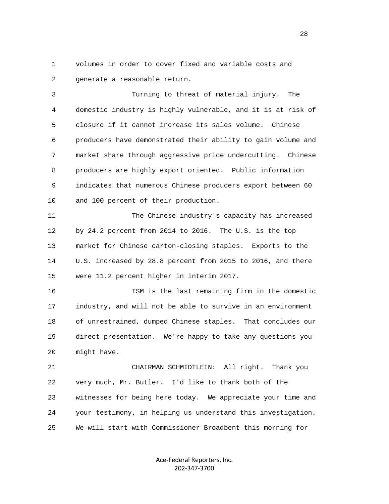1 volumes in order to cover fixed and variable costs and 2 generate a reasonable return.

 3 Turning to threat of material injury. The 4 domestic industry is highly vulnerable, and it is at risk of 5 closure if it cannot increase its sales volume. Chinese 6 producers have demonstrated their ability to gain volume and 7 market share through aggressive price undercutting. Chinese 8 producers are highly export oriented. Public information 9 indicates that numerous Chinese producers export between 60 10 and 100 percent of their production.

 11 The Chinese industry's capacity has increased 12 by 24.2 percent from 2014 to 2016. The U.S. is the top 13 market for Chinese carton-closing staples. Exports to the 14 U.S. increased by 28.8 percent from 2015 to 2016, and there 15 were 11.2 percent higher in interim 2017.

 16 ISM is the last remaining firm in the domestic 17 industry, and will not be able to survive in an environment 18 of unrestrained, dumped Chinese staples. That concludes our 19 direct presentation. We're happy to take any questions you 20 might have.

 21 CHAIRMAN SCHMIDTLEIN: All right. Thank you 22 very much, Mr. Butler. I'd like to thank both of the 23 witnesses for being here today. We appreciate your time and 24 your testimony, in helping us understand this investigation. 25 We will start with Commissioner Broadbent this morning for

> Ace-Federal Reporters, Inc. 202-347-3700

<u>28 and 28</u>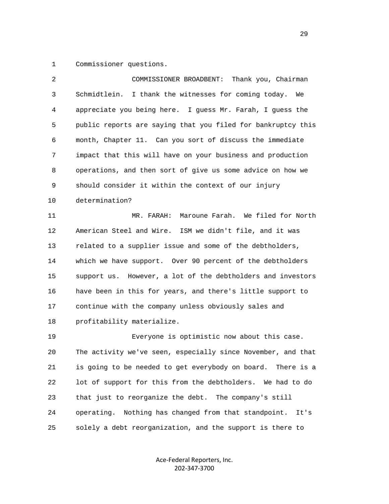1 Commissioner questions.

| 2            | Thank you, Chairman<br>COMMISSIONER BROADBENT:                  |
|--------------|-----------------------------------------------------------------|
| $\mathsf{3}$ | Schmidtlein.<br>I thank the witnesses for coming today.<br>We   |
| 4            | appreciate you being here. I guess Mr. Farah, I guess the       |
| 5            | public reports are saying that you filed for bankruptcy this    |
| 6            | month, Chapter 11. Can you sort of discuss the immediate        |
| 7            | impact that this will have on your business and production      |
| 8            | operations, and then sort of give us some advice on how we      |
| 9            | should consider it within the context of our injury             |
| 10           | determination?                                                  |
| 11           | Maroune Farah. We filed for North<br>MR. FARAH:                 |
| 12           | American Steel and Wire. ISM we didn't file, and it was         |
| 13           | related to a supplier issue and some of the debtholders,        |
| 14           | which we have support. Over 90 percent of the debtholders       |
| 15           | support us. However, a lot of the debtholders and investors     |
| 16           | have been in this for years, and there's little support to      |
| 17           | continue with the company unless obviously sales and            |
| 18           | profitability materialize.                                      |
| 19           | Everyone is optimistic now about this case.                     |
| 20           | The activity we've seen, especially since November, and that    |
| 21           | is going to be needed to get everybody on board.<br>There is a  |
| 22           | lot of support for this from the debtholders. We had to do      |
| 23           | that just to reorganize the debt. The company's still           |
| 24           | Nothing has changed from that standpoint.<br>operating.<br>It's |
| 25           | solely a debt reorganization, and the support is there to       |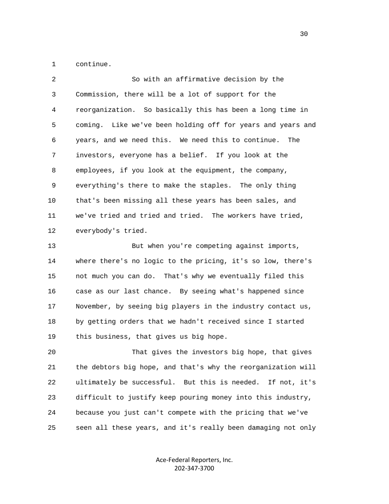1 continue.

| $\overline{2}$ | So with an affirmative decision by the                      |
|----------------|-------------------------------------------------------------|
| 3              | Commission, there will be a lot of support for the          |
| 4              | reorganization. So basically this has been a long time in   |
| 5              | coming. Like we've been holding off for years and years and |
| 6              | years, and we need this. We need this to continue. The      |
| 7              | investors, everyone has a belief. If you look at the        |
| 8              | employees, if you look at the equipment, the company,       |
| 9              | everything's there to make the staples. The only thing      |
| 10             | that's been missing all these years has been sales, and     |
| 11             | we've tried and tried and tried. The workers have tried,    |
| 12             | everybody's tried.                                          |
| 13             | But when you're competing against imports,                  |
| 14             | where there's no logic to the pricing, it's so low, there's |

 14 where there's no logic to the pricing, it's so low, there's 15 not much you can do. That's why we eventually filed this 16 case as our last chance. By seeing what's happened since 17 November, by seeing big players in the industry contact us, 18 by getting orders that we hadn't received since I started 19 this business, that gives us big hope.

> 20 That gives the investors big hope, that gives 21 the debtors big hope, and that's why the reorganization will 22 ultimately be successful. But this is needed. If not, it's 23 difficult to justify keep pouring money into this industry, 24 because you just can't compete with the pricing that we've 25 seen all these years, and it's really been damaging not only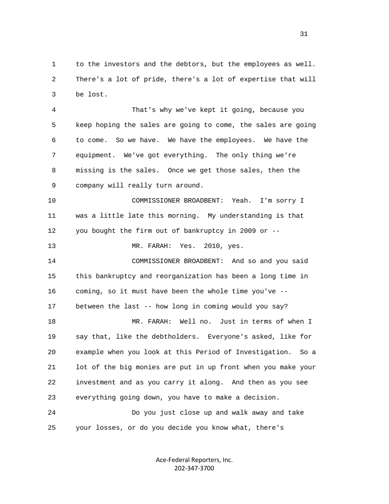1 to the investors and the debtors, but the employees as well. 2 There's a lot of pride, there's a lot of expertise that will 3 be lost.

 4 That's why we've kept it going, because you 5 keep hoping the sales are going to come, the sales are going 6 to come. So we have. We have the employees. We have the 7 equipment. We've got everything. The only thing we're 8 missing is the sales. Once we get those sales, then the 9 company will really turn around.

 10 COMMISSIONER BROADBENT: Yeah. I'm sorry I 11 was a little late this morning. My understanding is that 12 you bought the firm out of bankruptcy in 2009 or --

13 MR. FARAH: Yes. 2010, yes.

 14 COMMISSIONER BROADBENT: And so and you said 15 this bankruptcy and reorganization has been a long time in 16 coming, so it must have been the whole time you've -- 17 between the last -- how long in coming would you say?

 18 MR. FARAH: Well no. Just in terms of when I 19 say that, like the debtholders. Everyone's asked, like for 20 example when you look at this Period of Investigation. So a 21 lot of the big monies are put in up front when you make your 22 investment and as you carry it along. And then as you see 23 everything going down, you have to make a decision.

 24 Do you just close up and walk away and take 25 your losses, or do you decide you know what, there's

> Ace-Federal Reporters, Inc. 202-347-3700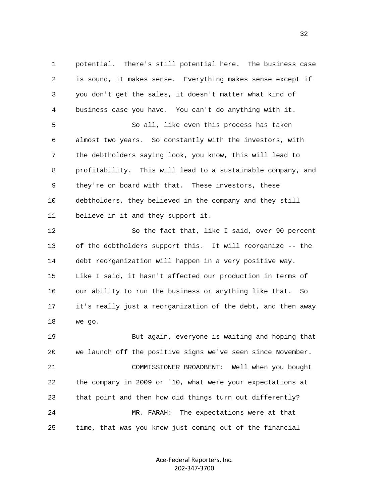1 potential. There's still potential here. The business case 2 is sound, it makes sense. Everything makes sense except if 3 you don't get the sales, it doesn't matter what kind of 4 business case you have. You can't do anything with it. 5 So all, like even this process has taken 6 almost two years. So constantly with the investors, with 7 the debtholders saying look, you know, this will lead to 8 profitability. This will lead to a sustainable company, and 9 they're on board with that. These investors, these 10 debtholders, they believed in the company and they still 11 believe in it and they support it. 12 So the fact that, like I said, over 90 percent 13 of the debtholders support this. It will reorganize -- the 14 debt reorganization will happen in a very positive way. 15 Like I said, it hasn't affected our production in terms of 16 our ability to run the business or anything like that. So 17 it's really just a reorganization of the debt, and then away 18 we go. 19 But again, everyone is waiting and hoping that 20 we launch off the positive signs we've seen since November. 21 COMMISSIONER BROADBENT: Well when you bought 22 the company in 2009 or '10, what were your expectations at 23 that point and then how did things turn out differently?

25 time, that was you know just coming out of the financial

24 MR. FARAH: The expectations were at that

Ace-Federal Reporters, Inc. 202-347-3700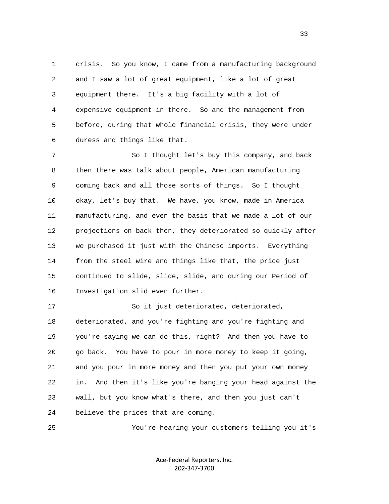1 crisis. So you know, I came from a manufacturing background 2 and I saw a lot of great equipment, like a lot of great 3 equipment there. It's a big facility with a lot of 4 expensive equipment in there. So and the management from 5 before, during that whole financial crisis, they were under 6 duress and things like that.

 7 So I thought let's buy this company, and back 8 then there was talk about people, American manufacturing 9 coming back and all those sorts of things. So I thought 10 okay, let's buy that. We have, you know, made in America 11 manufacturing, and even the basis that we made a lot of our 12 projections on back then, they deteriorated so quickly after 13 we purchased it just with the Chinese imports. Everything 14 from the steel wire and things like that, the price just 15 continued to slide, slide, slide, and during our Period of 16 Investigation slid even further.

 17 So it just deteriorated, deteriorated, 18 deteriorated, and you're fighting and you're fighting and 19 you're saying we can do this, right? And then you have to 20 go back. You have to pour in more money to keep it going, 21 and you pour in more money and then you put your own money 22 in. And then it's like you're banging your head against the 23 wall, but you know what's there, and then you just can't 24 believe the prices that are coming.

25 You're hearing your customers telling you it's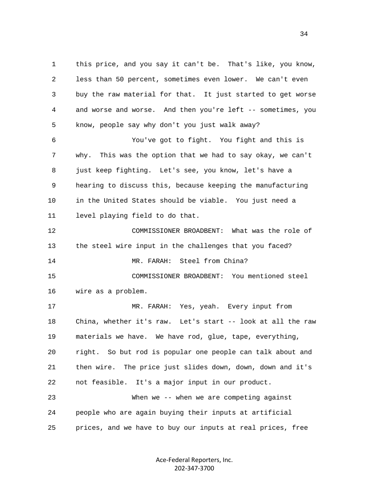1 this price, and you say it can't be. That's like, you know, 2 less than 50 percent, sometimes even lower. We can't even 3 buy the raw material for that. It just started to get worse 4 and worse and worse. And then you're left -- sometimes, you 5 know, people say why don't you just walk away?

 6 You've got to fight. You fight and this is 7 why. This was the option that we had to say okay, we can't 8 just keep fighting. Let's see, you know, let's have a 9 hearing to discuss this, because keeping the manufacturing 10 in the United States should be viable. You just need a 11 level playing field to do that.

 12 COMMISSIONER BROADBENT: What was the role of 13 the steel wire input in the challenges that you faced? 14 MR. FARAH: Steel from China? 15 COMMISSIONER BROADBENT: You mentioned steel

16 wire as a problem.

 17 MR. FARAH: Yes, yeah. Every input from 18 China, whether it's raw. Let's start -- look at all the raw 19 materials we have. We have rod, glue, tape, everything, 20 right. So but rod is popular one people can talk about and 21 then wire. The price just slides down, down, down and it's 22 not feasible. It's a major input in our product. 23 When we -- when we are competing against 24 people who are again buying their inputs at artificial

25 prices, and we have to buy our inputs at real prices, free

Ace-Federal Reporters, Inc. 202-347-3700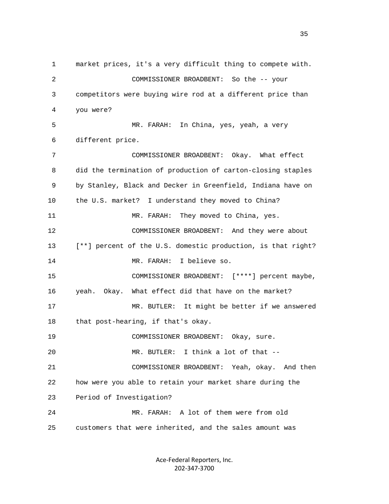1 market prices, it's a very difficult thing to compete with. 2 COMMISSIONER BROADBENT: So the -- your 3 competitors were buying wire rod at a different price than 4 you were? 5 MR. FARAH: In China, yes, yeah, a very 6 different price. 7 COMMISSIONER BROADBENT: Okay. What effect 8 did the termination of production of carton-closing staples 9 by Stanley, Black and Decker in Greenfield, Indiana have on 10 the U.S. market? I understand they moved to China? 11 MR. FARAH: They moved to China, yes. 12 COMMISSIONER BROADBENT: And they were about 13 [\*\*] percent of the U.S. domestic production, is that right? 14 MR. FARAH: I believe so. 15 COMMISSIONER BROADBENT: [\*\*\*\*] percent maybe, 16 yeah. Okay. What effect did that have on the market? 17 MR. BUTLER: It might be better if we answered 18 that post-hearing, if that's okay. 19 COMMISSIONER BROADBENT: Okay, sure. 20 MR. BUTLER: I think a lot of that -- 21 COMMISSIONER BROADBENT: Yeah, okay. And then 22 how were you able to retain your market share during the 23 Period of Investigation? 24 MR. FARAH: A lot of them were from old 25 customers that were inherited, and the sales amount was

> Ace-Federal Reporters, Inc. 202-347-3700

<u>35</u>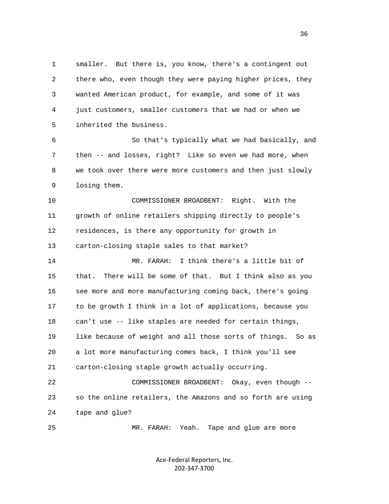1 smaller. But there is, you know, there's a contingent out 2 there who, even though they were paying higher prices, they 3 wanted American product, for example, and some of it was 4 just customers, smaller customers that we had or when we 5 inherited the business.

 6 So that's typically what we had basically, and 7 then -- and losses, right? Like so even we had more, when 8 we took over there were more customers and then just slowly 9 losing them.

 10 COMMISSIONER BROADBENT: Right. With the 11 growth of online retailers shipping directly to people's 12 residences, is there any opportunity for growth in 13 carton-closing staple sales to that market?

 14 MR. FARAH: I think there's a little bit of 15 that. There will be some of that. But I think also as you 16 see more and more manufacturing coming back, there's going 17 to be growth I think in a lot of applications, because you 18 can't use -- like staples are needed for certain things, 19 like because of weight and all those sorts of things. So as 20 a lot more manufacturing comes back, I think you'll see 21 carton-closing staple growth actually occurring.

 22 COMMISSIONER BROADBENT: Okay, even though -- 23 so the online retailers, the Amazons and so forth are using 24 tape and glue?

25 MR. FARAH: Yeah. Tape and glue are more

Ace-Federal Reporters, Inc. 202-347-3700

 $36$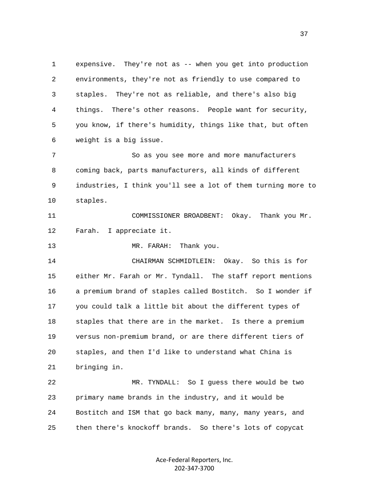1 expensive. They're not as -- when you get into production 2 environments, they're not as friendly to use compared to 3 staples. They're not as reliable, and there's also big 4 things. There's other reasons. People want for security, 5 you know, if there's humidity, things like that, but often 6 weight is a big issue. 7 So as you see more and more manufacturers 8 coming back, parts manufacturers, all kinds of different 9 industries, I think you'll see a lot of them turning more to 10 staples. 11 COMMISSIONER BROADBENT: Okay. Thank you Mr. 12 Farah. I appreciate it. 13 MR. FARAH: Thank you. 14 CHAIRMAN SCHMIDTLEIN: Okay. So this is for 15 either Mr. Farah or Mr. Tyndall. The staff report mentions 16 a premium brand of staples called Bostitch. So I wonder if 17 you could talk a little bit about the different types of 18 staples that there are in the market. Is there a premium 19 versus non-premium brand, or are there different tiers of 20 staples, and then I'd like to understand what China is 21 bringing in. 22 MR. TYNDALL: So I guess there would be two 23 primary name brands in the industry, and it would be 24 Bostitch and ISM that go back many, many, many years, and 25 then there's knockoff brands. So there's lots of copycat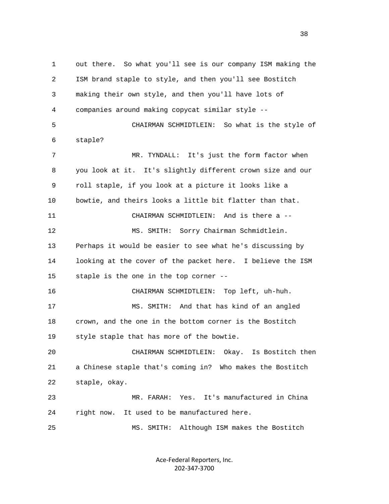1 out there. So what you'll see is our company ISM making the 2 ISM brand staple to style, and then you'll see Bostitch 3 making their own style, and then you'll have lots of 4 companies around making copycat similar style -- 5 CHAIRMAN SCHMIDTLEIN: So what is the style of 6 staple? 7 MR. TYNDALL: It's just the form factor when 8 you look at it. It's slightly different crown size and our 9 roll staple, if you look at a picture it looks like a 10 bowtie, and theirs looks a little bit flatter than that. 11 CHAIRMAN SCHMIDTLEIN: And is there a -- 12 MS. SMITH: Sorry Chairman Schmidtlein. 13 Perhaps it would be easier to see what he's discussing by 14 looking at the cover of the packet here. I believe the ISM 15 staple is the one in the top corner -- 16 CHAIRMAN SCHMIDTLEIN: Top left, uh-huh. 17 MS. SMITH: And that has kind of an angled 18 crown, and the one in the bottom corner is the Bostitch 19 style staple that has more of the bowtie. 20 CHAIRMAN SCHMIDTLEIN: Okay. Is Bostitch then 21 a Chinese staple that's coming in? Who makes the Bostitch 22 staple, okay. 23 MR. FARAH: Yes. It's manufactured in China 24 right now. It used to be manufactured here. 25 MS. SMITH: Although ISM makes the Bostitch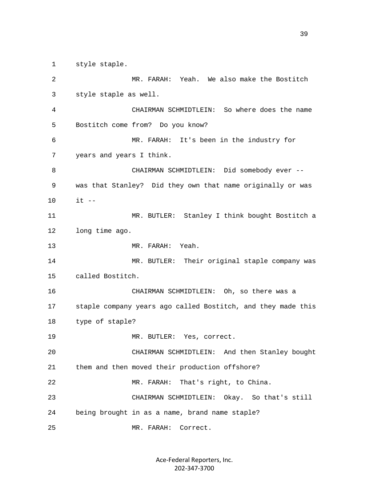1 style staple.

| 2  | MR. FARAH: Yeah. We also make the Bostitch                   |
|----|--------------------------------------------------------------|
| 3  | style staple as well.                                        |
| 4  | CHAIRMAN SCHMIDTLEIN: So where does the name                 |
| 5  | Bostitch come from? Do you know?                             |
| 6  | MR. FARAH: It's been in the industry for                     |
| 7  | years and years I think.                                     |
| 8  | CHAIRMAN SCHMIDTLEIN: Did somebody ever --                   |
| 9  | was that Stanley? Did they own that name originally or was   |
| 10 | $it$ --                                                      |
| 11 | MR. BUTLER: Stanley I think bought Bostitch a                |
| 12 | long time ago.                                               |
| 13 | MR. FARAH: Yeah.                                             |
| 14 | MR. BUTLER: Their original staple company was                |
| 15 | called Bostitch.                                             |
| 16 | CHAIRMAN SCHMIDTLEIN: Oh, so there was a                     |
| 17 | staple company years ago called Bostitch, and they made this |
| 18 | type of staple?                                              |
| 19 | MR. BUTLER: Yes, correct.                                    |
| 20 | CHAIRMAN SCHMIDTLEIN:<br>And then Stanley bought             |
| 21 | them and then moved their production offshore?               |
| 22 | That's right, to China.<br>MR. FARAH:                        |
| 23 | CHAIRMAN SCHMIDTLEIN: Okay. So that's still                  |
| 24 | being brought in as a name, brand name staple?               |
| 25 | MR. FARAH:<br>Correct.                                       |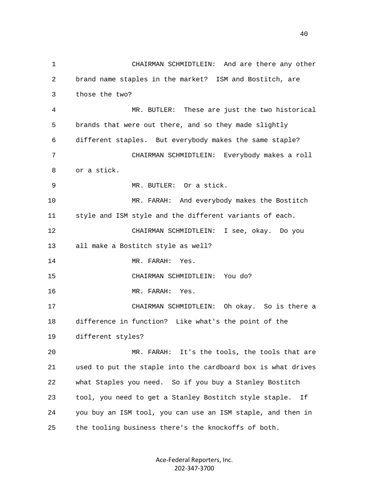1 CHAIRMAN SCHMIDTLEIN: And are there any other 2 brand name staples in the market? ISM and Bostitch, are 3 those the two? 4 MR. BUTLER: These are just the two historical 5 brands that were out there, and so they made slightly 6 different staples. But everybody makes the same staple? 7 CHAIRMAN SCHMIDTLEIN: Everybody makes a roll 8 or a stick. 9 MR. BUTLER: Or a stick. 10 MR. FARAH: And everybody makes the Bostitch 11 style and ISM style and the different variants of each. 12 CHAIRMAN SCHMIDTLEIN: I see, okay. Do you 13 all make a Bostitch style as well? 14 MR. FARAH: Yes. 15 CHAIRMAN SCHMIDTLEIN: You do? 16 MR. FARAH: Yes. 17 CHAIRMAN SCHMIDTLEIN: Oh okay. So is there a 18 difference in function? Like what's the point of the 19 different styles? 20 MR. FARAH: It's the tools, the tools that are 21 used to put the staple into the cardboard box is what drives 22 what Staples you need. So if you buy a Stanley Bostitch 23 tool, you need to get a Stanley Bostitch style staple. If 24 you buy an ISM tool, you can use an ISM staple, and then in 25 the tooling business there's the knockoffs of both.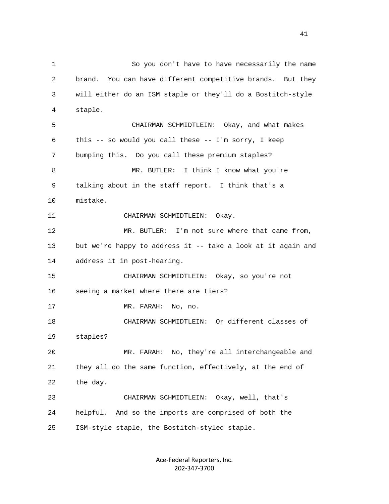1 So you don't have to have necessarily the name 2 brand. You can have different competitive brands. But they 3 will either do an ISM staple or they'll do a Bostitch-style 4 staple. 5 CHAIRMAN SCHMIDTLEIN: Okay, and what makes 6 this -- so would you call these -- I'm sorry, I keep 7 bumping this. Do you call these premium staples? 8 MR. BUTLER: I think I know what you're 9 talking about in the staff report. I think that's a 10 mistake. 11 CHAIRMAN SCHMIDTLEIN: Okay. 12 MR. BUTLER: I'm not sure where that came from, 13 but we're happy to address it -- take a look at it again and 14 address it in post-hearing. 15 CHAIRMAN SCHMIDTLEIN: Okay, so you're not 16 seeing a market where there are tiers? 17 MR. FARAH: No, no. 18 CHAIRMAN SCHMIDTLEIN: Or different classes of 19 staples? 20 MR. FARAH: No, they're all interchangeable and 21 they all do the same function, effectively, at the end of 22 the day. 23 CHAIRMAN SCHMIDTLEIN: Okay, well, that's 24 helpful. And so the imports are comprised of both the 25 ISM-style staple, the Bostitch-styled staple.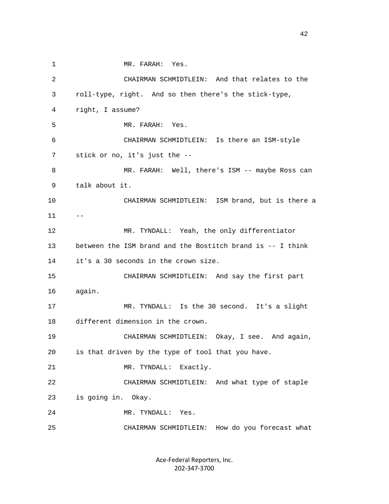1 MR. FARAH: Yes. 2 CHAIRMAN SCHMIDTLEIN: And that relates to the 3 roll-type, right. And so then there's the stick-type, 4 right, I assume? 5 MR. FARAH: Yes. 6 CHAIRMAN SCHMIDTLEIN: Is there an ISM-style 7 stick or no, it's just the -- 8 MR. FARAH: Well, there's ISM -- maybe Ross can 9 talk about it. 10 CHAIRMAN SCHMIDTLEIN: ISM brand, but is there a 11 -- 12 MR. TYNDALL: Yeah, the only differentiator 13 between the ISM brand and the Bostitch brand is -- I think 14 it's a 30 seconds in the crown size. 15 CHAIRMAN SCHMIDTLEIN: And say the first part 16 again. 17 MR. TYNDALL: Is the 30 second. It's a slight 18 different dimension in the crown. 19 CHAIRMAN SCHMIDTLEIN: Okay, I see. And again, 20 is that driven by the type of tool that you have. 21 MR. TYNDALL: Exactly. 22 CHAIRMAN SCHMIDTLEIN: And what type of staple 23 is going in. Okay. 24 MR. TYNDALL: Yes. 25 CHAIRMAN SCHMIDTLEIN: How do you forecast what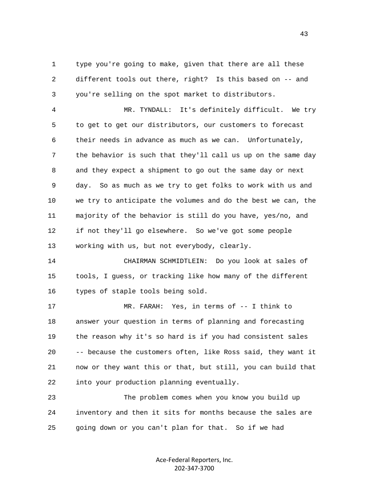1 type you're going to make, given that there are all these 2 different tools out there, right? Is this based on -- and 3 you're selling on the spot market to distributors.

 4 MR. TYNDALL: It's definitely difficult. We try 5 to get to get our distributors, our customers to forecast 6 their needs in advance as much as we can. Unfortunately, 7 the behavior is such that they'll call us up on the same day 8 and they expect a shipment to go out the same day or next 9 day. So as much as we try to get folks to work with us and 10 we try to anticipate the volumes and do the best we can, the 11 majority of the behavior is still do you have, yes/no, and 12 if not they'll go elsewhere. So we've got some people 13 working with us, but not everybody, clearly.

 14 CHAIRMAN SCHMIDTLEIN: Do you look at sales of 15 tools, I guess, or tracking like how many of the different 16 types of staple tools being sold.

 17 MR. FARAH: Yes, in terms of -- I think to 18 answer your question in terms of planning and forecasting 19 the reason why it's so hard is if you had consistent sales 20 -- because the customers often, like Ross said, they want it 21 now or they want this or that, but still, you can build that 22 into your production planning eventually.

 23 The problem comes when you know you build up 24 inventory and then it sits for months because the sales are 25 going down or you can't plan for that. So if we had

> Ace-Federal Reporters, Inc. 202-347-3700

43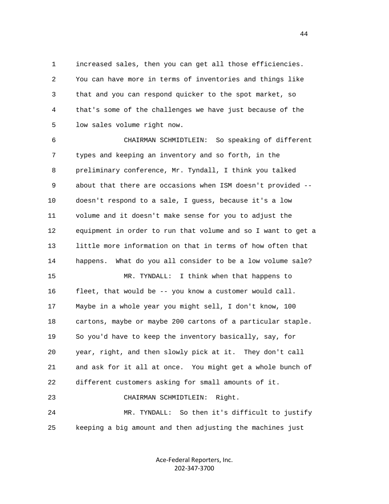1 increased sales, then you can get all those efficiencies. 2 You can have more in terms of inventories and things like 3 that and you can respond quicker to the spot market, so 4 that's some of the challenges we have just because of the 5 low sales volume right now.

 6 CHAIRMAN SCHMIDTLEIN: So speaking of different 7 types and keeping an inventory and so forth, in the 8 preliminary conference, Mr. Tyndall, I think you talked 9 about that there are occasions when ISM doesn't provided -- 10 doesn't respond to a sale, I guess, because it's a low 11 volume and it doesn't make sense for you to adjust the 12 equipment in order to run that volume and so I want to get a 13 little more information on that in terms of how often that 14 happens. What do you all consider to be a low volume sale? 15 MR. TYNDALL: I think when that happens to 16 fleet, that would be -- you know a customer would call. 17 Maybe in a whole year you might sell, I don't know, 100 18 cartons, maybe or maybe 200 cartons of a particular staple. 19 So you'd have to keep the inventory basically, say, for 20 year, right, and then slowly pick at it. They don't call 21 and ask for it all at once. You might get a whole bunch of 22 different customers asking for small amounts of it. 23 CHAIRMAN SCHMIDTLEIN: Right.

 24 MR. TYNDALL: So then it's difficult to justify 25 keeping a big amount and then adjusting the machines just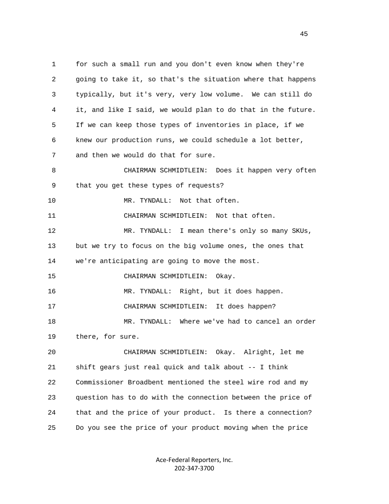1 for such a small run and you don't even know when they're 2 going to take it, so that's the situation where that happens 3 typically, but it's very, very low volume. We can still do 4 it, and like I said, we would plan to do that in the future. 5 If we can keep those types of inventories in place, if we 6 knew our production runs, we could schedule a lot better, 7 and then we would do that for sure. 8 CHAIRMAN SCHMIDTLEIN: Does it happen very often 9 that you get these types of requests? 10 MR. TYNDALL: Not that often. 11 CHAIRMAN SCHMIDTLEIN: Not that often. 12 MR. TYNDALL: I mean there's only so many SKUs, 13 but we try to focus on the big volume ones, the ones that 14 we're anticipating are going to move the most. 15 CHAIRMAN SCHMIDTLEIN: Okay. 16 MR. TYNDALL: Right, but it does happen. 17 CHAIRMAN SCHMIDTLEIN: It does happen? 18 MR. TYNDALL: Where we've had to cancel an order 19 there, for sure. 20 CHAIRMAN SCHMIDTLEIN: Okay. Alright, let me 21 shift gears just real quick and talk about -- I think 22 Commissioner Broadbent mentioned the steel wire rod and my 23 question has to do with the connection between the price of 24 that and the price of your product. Is there a connection? 25 Do you see the price of your product moving when the price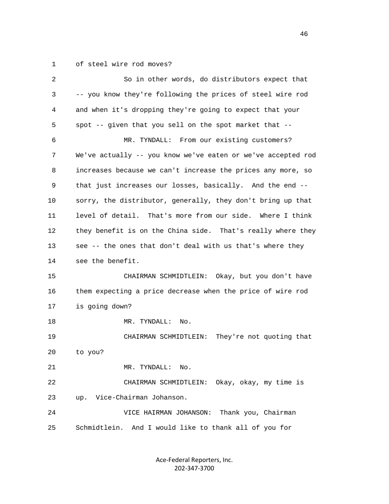1 of steel wire rod moves?

| $\overline{a}$ | So in other words, do distributors expect that               |
|----------------|--------------------------------------------------------------|
| 3              | -- you know they're following the prices of steel wire rod   |
| 4              | and when it's dropping they're going to expect that your     |
| 5              | spot -- given that you sell on the spot market that --       |
| 6              | MR. TYNDALL: From our existing customers?                    |
| 7              | We've actually -- you know we've eaten or we've accepted rod |
| 8              | increases because we can't increase the prices any more, so  |
| 9              | that just increases our losses, basically. And the end --    |
| 10             | sorry, the distributor, generally, they don't bring up that  |
| 11             | level of detail. That's more from our side. Where I think    |
| 12             | they benefit is on the China side. That's really where they  |
| 13             | see -- the ones that don't deal with us that's where they    |
| 14             | see the benefit.                                             |
| 15             | CHAIRMAN SCHMIDTLEIN: Okay, but you don't have               |
| 16             | them expecting a price decrease when the price of wire rod   |
| 17             | is going down?                                               |
| 18             | MR. TYNDALL:<br>No.                                          |
| 19             | They're not quoting that<br>CHAIRMAN SCHMIDTLEIN:            |
| 20             | to you?                                                      |
| 21             | MR. TYNDALL:<br>No.                                          |
| 22             | CHAIRMAN SCHMIDTLEIN:<br>Okay, okay, my time is              |
| 23             | Vice-Chairman Johanson.<br>up.                               |
| 24             | Thank you, Chairman<br>VICE HAIRMAN JOHANSON:                |
| 25             | Schmidtlein. And I would like to thank all of you for        |
|                |                                                              |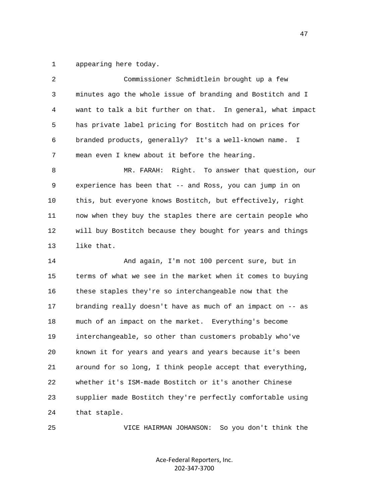1 appearing here today.

| 2  | Commissioner Schmidtlein brought up a few                   |
|----|-------------------------------------------------------------|
| 3  | minutes ago the whole issue of branding and Bostitch and I  |
| 4  | want to talk a bit further on that. In general, what impact |
| 5  | has private label pricing for Bostitch had on prices for    |
| 6  | branded products, generally? It's a well-known name. I      |
| 7  | mean even I knew about it before the hearing.               |
| 8  | MR. FARAH:<br>Right. To answer that question, our           |
| 9  | experience has been that -- and Ross, you can jump in on    |
| 10 | this, but everyone knows Bostitch, but effectively, right   |
| 11 | now when they buy the staples there are certain people who  |
| 12 | will buy Bostitch because they bought for years and things  |
| 13 | like that.                                                  |
| 14 | And again, I'm not 100 percent sure, but in                 |
| 15 | terms of what we see in the market when it comes to buying  |
| 16 | these staples they're so interchangeable now that the       |
| 17 | branding really doesn't have as much of an impact on -- as  |
| 18 | much of an impact on the market. Everything's become        |
| 19 | interchangeable, so other than customers probably who've    |
| 20 | known it for years and years and years because it's been    |
| 21 | around for so long, I think people accept that everything,  |
| 22 | whether it's ISM-made Bostitch or it's another Chinese      |
| 23 | supplier made Bostitch they're perfectly comfortable using  |
| 24 | that staple.                                                |

25 VICE HAIRMAN JOHANSON: So you don't think the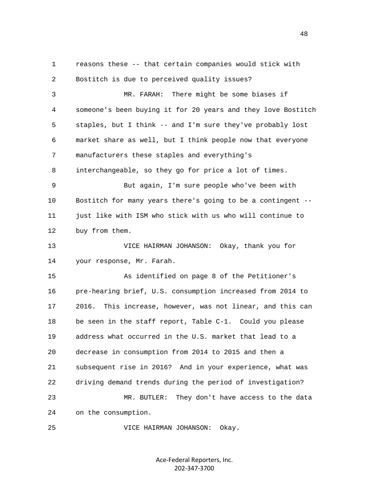2 Bostitch is due to perceived quality issues? 3 MR. FARAH: There might be some biases if 4 someone's been buying it for 20 years and they love Bostitch 5 staples, but I think -- and I'm sure they've probably lost 6 market share as well, but I think people now that everyone 7 manufacturers these staples and everything's 8 interchangeable, so they go for price a lot of times. 9 But again, I'm sure people who've been with 10 Bostitch for many years there's going to be a contingent -- 11 just like with ISM who stick with us who will continue to 12 buy from them. 13 VICE HAIRMAN JOHANSON: Okay, thank you for 14 your response, Mr. Farah. 15 As identified on page 8 of the Petitioner's 16 pre-hearing brief, U.S. consumption increased from 2014 to 17 2016. This increase, however, was not linear, and this can 18 be seen in the staff report, Table C-1. Could you please 19 address what occurred in the U.S. market that lead to a 20 decrease in consumption from 2014 to 2015 and then a 21 subsequent rise in 2016? And in your experience, what was 22 driving demand trends during the period of investigation? 23 MR. BUTLER: They don't have access to the data 24 on the consumption. 25 VICE HAIRMAN JOHANSON: Okay.

1 reasons these -- that certain companies would stick with

Ace-Federal Reporters, Inc. 202-347-3700

48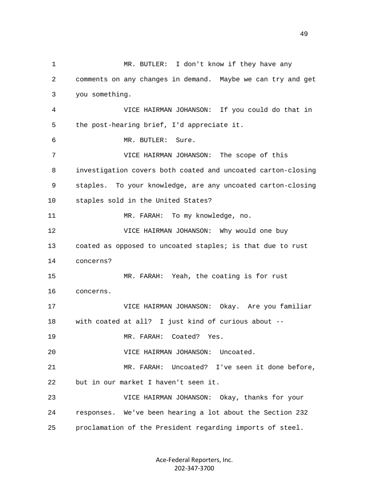1 MR. BUTLER: I don't know if they have any 2 comments on any changes in demand. Maybe we can try and get 3 you something. 4 VICE HAIRMAN JOHANSON: If you could do that in 5 the post-hearing brief, I'd appreciate it. 6 MR. BUTLER: Sure. 7 VICE HAIRMAN JOHANSON: The scope of this 8 investigation covers both coated and uncoated carton-closing 9 staples. To your knowledge, are any uncoated carton-closing 10 staples sold in the United States? 11 MR. FARAH: To my knowledge, no. 12 VICE HAIRMAN JOHANSON: Why would one buy 13 coated as opposed to uncoated staples; is that due to rust 14 concerns? 15 MR. FARAH: Yeah, the coating is for rust 16 concerns. 17 VICE HAIRMAN JOHANSON: Okay. Are you familiar 18 with coated at all? I just kind of curious about -- 19 MR. FARAH: Coated? Yes. 20 VICE HAIRMAN JOHANSON: Uncoated. 21 MR. FARAH: Uncoated? I've seen it done before, 22 but in our market I haven't seen it. 23 VICE HAIRMAN JOHANSON: Okay, thanks for your 24 responses. We've been hearing a lot about the Section 232 25 proclamation of the President regarding imports of steel.

> Ace-Federal Reporters, Inc. 202-347-3700

49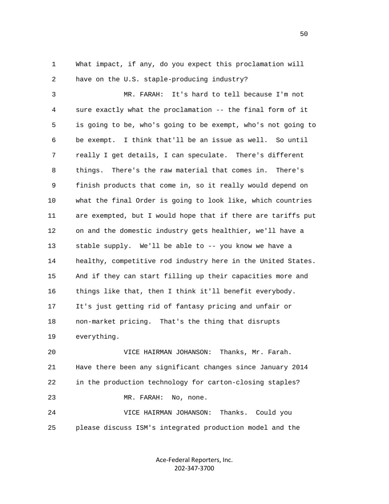1 What impact, if any, do you expect this proclamation will 2 have on the U.S. staple-producing industry?

 3 MR. FARAH: It's hard to tell because I'm not 4 sure exactly what the proclamation -- the final form of it 5 is going to be, who's going to be exempt, who's not going to 6 be exempt. I think that'll be an issue as well. So until 7 really I get details, I can speculate. There's different 8 things. There's the raw material that comes in. There's 9 finish products that come in, so it really would depend on 10 what the final Order is going to look like, which countries 11 are exempted, but I would hope that if there are tariffs put 12 on and the domestic industry gets healthier, we'll have a 13 stable supply. We'll be able to -- you know we have a 14 healthy, competitive rod industry here in the United States. 15 And if they can start filling up their capacities more and 16 things like that, then I think it'll benefit everybody. 17 It's just getting rid of fantasy pricing and unfair or 18 non-market pricing. That's the thing that disrupts 19 everything.

 20 VICE HAIRMAN JOHANSON: Thanks, Mr. Farah. 21 Have there been any significant changes since January 2014 22 in the production technology for carton-closing staples? 23 MR. FARAH: No, none. 24 VICE HAIRMAN JOHANSON: Thanks. Could you

25 please discuss ISM's integrated production model and the

Ace-Federal Reporters, Inc. 202-347-3700

 $50<sub>50</sub>$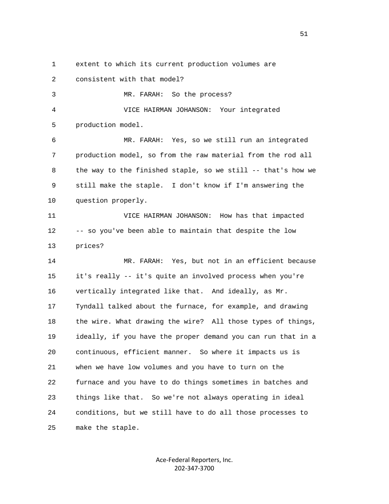1 extent to which its current production volumes are

 2 consistent with that model? 3 MR. FARAH: So the process? 4 VICE HAIRMAN JOHANSON: Your integrated 5 production model. 6 MR. FARAH: Yes, so we still run an integrated 7 production model, so from the raw material from the rod all 8 the way to the finished staple, so we still -- that's how we 9 still make the staple. I don't know if I'm answering the

10 question properly.

 11 VICE HAIRMAN JOHANSON: How has that impacted 12 -- so you've been able to maintain that despite the low 13 prices?

 14 MR. FARAH: Yes, but not in an efficient because 15 it's really -- it's quite an involved process when you're 16 vertically integrated like that. And ideally, as Mr. 17 Tyndall talked about the furnace, for example, and drawing 18 the wire. What drawing the wire? All those types of things, 19 ideally, if you have the proper demand you can run that in a 20 continuous, efficient manner. So where it impacts us is 21 when we have low volumes and you have to turn on the 22 furnace and you have to do things sometimes in batches and 23 things like that. So we're not always operating in ideal 24 conditions, but we still have to do all those processes to 25 make the staple.

> Ace-Federal Reporters, Inc. 202-347-3700

 $51$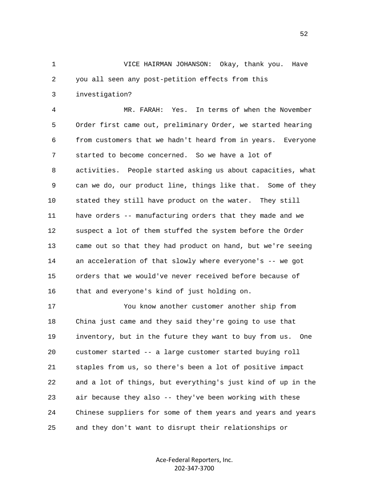1 VICE HAIRMAN JOHANSON: Okay, thank you. Have 2 you all seen any post-petition effects from this

3 investigation?

 4 MR. FARAH: Yes. In terms of when the November 5 Order first came out, preliminary Order, we started hearing 6 from customers that we hadn't heard from in years. Everyone 7 started to become concerned. So we have a lot of 8 activities. People started asking us about capacities, what 9 can we do, our product line, things like that. Some of they 10 stated they still have product on the water. They still 11 have orders -- manufacturing orders that they made and we 12 suspect a lot of them stuffed the system before the Order 13 came out so that they had product on hand, but we're seeing 14 an acceleration of that slowly where everyone's -- we got 15 orders that we would've never received before because of 16 that and everyone's kind of just holding on.

 17 You know another customer another ship from 18 China just came and they said they're going to use that 19 inventory, but in the future they want to buy from us. One 20 customer started -- a large customer started buying roll 21 staples from us, so there's been a lot of positive impact 22 and a lot of things, but everything's just kind of up in the 23 air because they also -- they've been working with these 24 Chinese suppliers for some of them years and years and years 25 and they don't want to disrupt their relationships or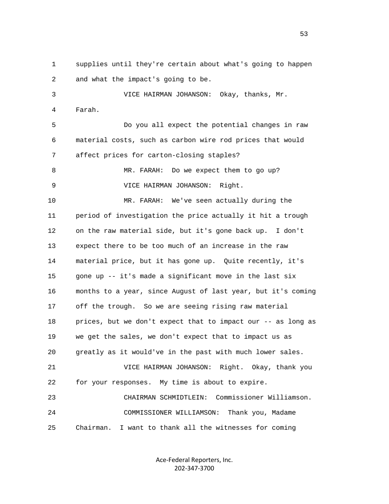1 supplies until they're certain about what's going to happen 2 and what the impact's going to be. 3 VICE HAIRMAN JOHANSON: Okay, thanks, Mr. 4 Farah. 5 Do you all expect the potential changes in raw 6 material costs, such as carbon wire rod prices that would 7 affect prices for carton-closing staples? 8 MR. FARAH: Do we expect them to go up? 9 VICE HAIRMAN JOHANSON: Right. 10 MR. FARAH: We've seen actually during the 11 period of investigation the price actually it hit a trough 12 on the raw material side, but it's gone back up. I don't 13 expect there to be too much of an increase in the raw 14 material price, but it has gone up. Quite recently, it's 15 gone up -- it's made a significant move in the last six 16 months to a year, since August of last year, but it's coming 17 off the trough. So we are seeing rising raw material 18 prices, but we don't expect that to impact our -- as long as 19 we get the sales, we don't expect that to impact us as 20 greatly as it would've in the past with much lower sales. 21 VICE HAIRMAN JOHANSON: Right. Okay, thank you 22 for your responses. My time is about to expire. 23 CHAIRMAN SCHMIDTLEIN: Commissioner Williamson. 24 COMMISSIONER WILLIAMSON: Thank you, Madame 25 Chairman. I want to thank all the witnesses for coming

> Ace-Federal Reporters, Inc. 202-347-3700

 $53$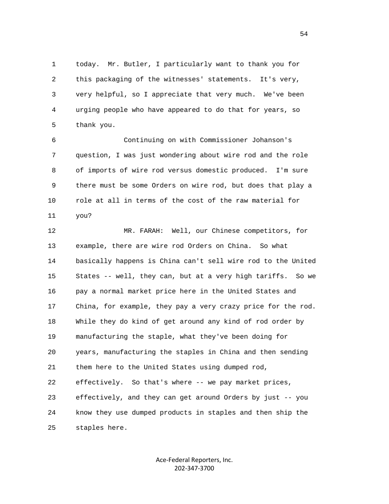1 today. Mr. Butler, I particularly want to thank you for 2 this packaging of the witnesses' statements. It's very, 3 very helpful, so I appreciate that very much. We've been 4 urging people who have appeared to do that for years, so 5 thank you.

 6 Continuing on with Commissioner Johanson's 7 question, I was just wondering about wire rod and the role 8 of imports of wire rod versus domestic produced. I'm sure 9 there must be some Orders on wire rod, but does that play a 10 role at all in terms of the cost of the raw material for 11 you?

 12 MR. FARAH: Well, our Chinese competitors, for 13 example, there are wire rod Orders on China. So what 14 basically happens is China can't sell wire rod to the United 15 States -- well, they can, but at a very high tariffs. So we 16 pay a normal market price here in the United States and 17 China, for example, they pay a very crazy price for the rod. 18 While they do kind of get around any kind of rod order by 19 manufacturing the staple, what they've been doing for 20 years, manufacturing the staples in China and then sending 21 them here to the United States using dumped rod, 22 effectively. So that's where -- we pay market prices, 23 effectively, and they can get around Orders by just -- you 24 know they use dumped products in staples and then ship the 25 staples here.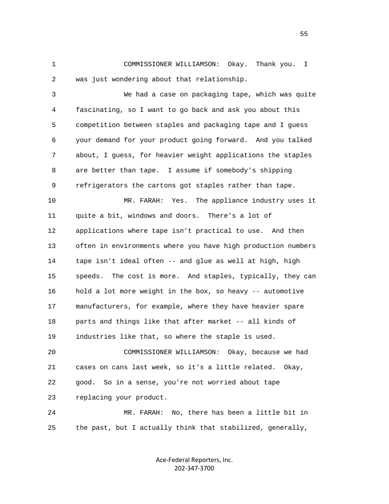1 COMMISSIONER WILLIAMSON: Okay. Thank you. I 2 was just wondering about that relationship.

 3 We had a case on packaging tape, which was quite 4 fascinating, so I want to go back and ask you about this 5 competition between staples and packaging tape and I guess 6 your demand for your product going forward. And you talked 7 about, I guess, for heavier weight applications the staples 8 are better than tape. I assume if somebody's shipping 9 refrigerators the cartons got staples rather than tape.

 10 MR. FARAH: Yes. The appliance industry uses it 11 quite a bit, windows and doors. There's a lot of 12 applications where tape isn't practical to use. And then 13 often in environments where you have high production numbers 14 tape isn't ideal often -- and glue as well at high, high 15 speeds. The cost is more. And staples, typically, they can 16 hold a lot more weight in the box, so heavy -- automotive 17 manufacturers, for example, where they have heavier spare 18 parts and things like that after market -- all kinds of 19 industries like that, so where the staple is used.

 20 COMMISSIONER WILLIAMSON: Okay, because we had 21 cases on cans last week, so it's a little related. Okay, 22 good. So in a sense, you're not worried about tape 23 replacing your product.

 24 MR. FARAH: No, there has been a little bit in 25 the past, but I actually think that stabilized, generally,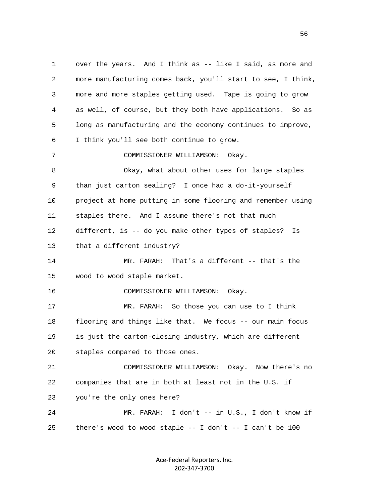1 over the years. And I think as -- like I said, as more and 2 more manufacturing comes back, you'll start to see, I think, 3 more and more staples getting used. Tape is going to grow 4 as well, of course, but they both have applications. So as 5 long as manufacturing and the economy continues to improve, 6 I think you'll see both continue to grow. 7 COMMISSIONER WILLIAMSON: Okay. 8 Okay, what about other uses for large staples 9 than just carton sealing? I once had a do-it-yourself 10 project at home putting in some flooring and remember using 11 staples there. And I assume there's not that much 12 different, is -- do you make other types of staples? Is 13 that a different industry? 14 MR. FARAH: That's a different -- that's the 15 wood to wood staple market. 16 COMMISSIONER WILLIAMSON: Okay. 17 MR. FARAH: So those you can use to I think 18 flooring and things like that. We focus -- our main focus 19 is just the carton-closing industry, which are different 20 staples compared to those ones. 21 COMMISSIONER WILLIAMSON: Okay. Now there's no 22 companies that are in both at least not in the U.S. if 23 you're the only ones here? 24 MR. FARAH: I don't -- in U.S., I don't know if 25 there's wood to wood staple -- I don't -- I can't be 100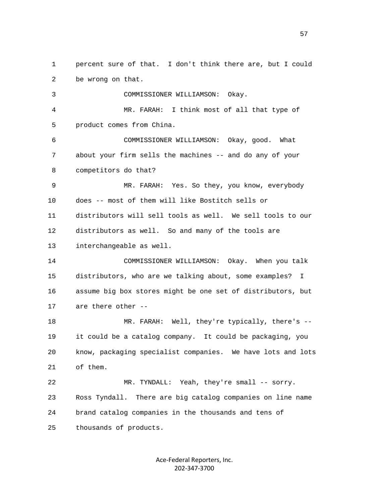1 percent sure of that. I don't think there are, but I could 2 be wrong on that. 3 COMMISSIONER WILLIAMSON: Okay. 4 MR. FARAH: I think most of all that type of 5 product comes from China. 6 COMMISSIONER WILLIAMSON: Okay, good. What 7 about your firm sells the machines -- and do any of your 8 competitors do that? 9 MR. FARAH: Yes. So they, you know, everybody 10 does -- most of them will like Bostitch sells or 11 distributors will sell tools as well. We sell tools to our 12 distributors as well. So and many of the tools are 13 interchangeable as well. 14 COMMISSIONER WILLIAMSON: Okay. When you talk 15 distributors, who are we talking about, some examples? I 16 assume big box stores might be one set of distributors, but 17 are there other -- 18 MR. FARAH: Well, they're typically, there's -- 19 it could be a catalog company. It could be packaging, you 20 know, packaging specialist companies. We have lots and lots 21 of them. 22 MR. TYNDALL: Yeah, they're small -- sorry. 23 Ross Tyndall. There are big catalog companies on line name 24 brand catalog companies in the thousands and tens of

> Ace-Federal Reporters, Inc. 202-347-3700

25 thousands of products.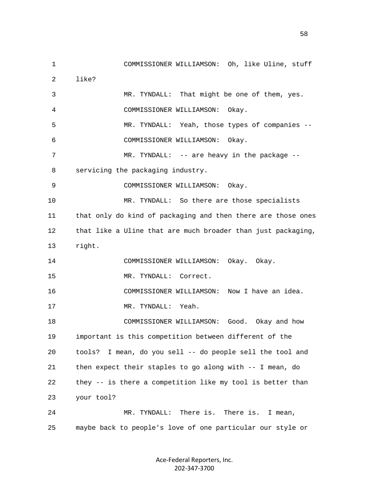1 COMMISSIONER WILLIAMSON: Oh, like Uline, stuff 2 like? 3 MR. TYNDALL: That might be one of them, yes. 4 COMMISSIONER WILLIAMSON: Okay. 5 MR. TYNDALL: Yeah, those types of companies -- 6 COMMISSIONER WILLIAMSON: Okay. 7 MR. TYNDALL: -- are heavy in the package -- 8 servicing the packaging industry. 9 COMMISSIONER WILLIAMSON: Okay. 10 MR. TYNDALL: So there are those specialists 11 that only do kind of packaging and then there are those ones 12 that like a Uline that are much broader than just packaging, 13 right. 14 COMMISSIONER WILLIAMSON: Okay. Okay. 15 MR. TYNDALL: Correct. 16 COMMISSIONER WILLIAMSON: Now I have an idea. 17 MR. TYNDALL: Yeah. 18 COMMISSIONER WILLIAMSON: Good. Okay and how 19 important is this competition between different of the 20 tools? I mean, do you sell -- do people sell the tool and 21 then expect their staples to go along with -- I mean, do 22 they -- is there a competition like my tool is better than 23 your tool? 24 MR. TYNDALL: There is. There is. I mean, 25 maybe back to people's love of one particular our style or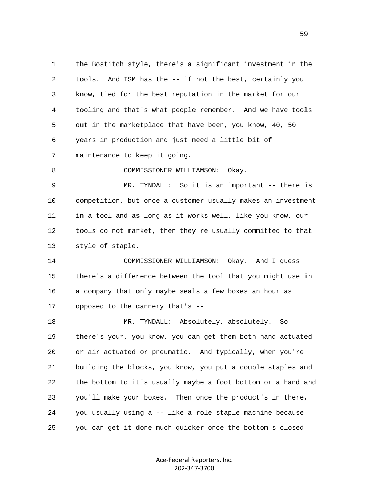1 the Bostitch style, there's a significant investment in the 2 tools. And ISM has the -- if not the best, certainly you 3 know, tied for the best reputation in the market for our 4 tooling and that's what people remember. And we have tools 5 out in the marketplace that have been, you know, 40, 50 6 years in production and just need a little bit of 7 maintenance to keep it going. 8 COMMISSIONER WILLIAMSON: Okay.

 9 MR. TYNDALL: So it is an important -- there is 10 competition, but once a customer usually makes an investment 11 in a tool and as long as it works well, like you know, our 12 tools do not market, then they're usually committed to that 13 style of staple.

 14 COMMISSIONER WILLIAMSON: Okay. And I guess 15 there's a difference between the tool that you might use in 16 a company that only maybe seals a few boxes an hour as 17 opposed to the cannery that's --

 18 MR. TYNDALL: Absolutely, absolutely. So 19 there's your, you know, you can get them both hand actuated 20 or air actuated or pneumatic. And typically, when you're 21 building the blocks, you know, you put a couple staples and 22 the bottom to it's usually maybe a foot bottom or a hand and 23 you'll make your boxes. Then once the product's in there, 24 you usually using a -- like a role staple machine because 25 you can get it done much quicker once the bottom's closed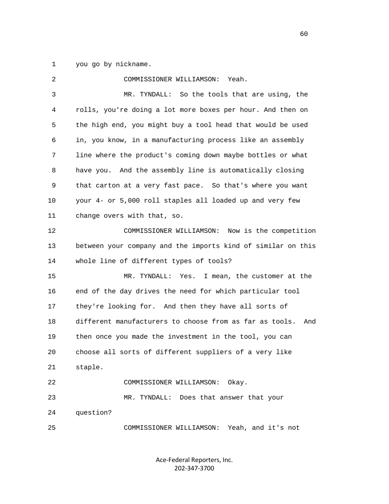1 you go by nickname.

| 2  | COMMISSIONER WILLIAMSON:<br>Yeah.                              |
|----|----------------------------------------------------------------|
| 3  | So the tools that are using, the<br>MR. TYNDALL:               |
| 4  | rolls, you're doing a lot more boxes per hour. And then on     |
| 5  | the high end, you might buy a tool head that would be used     |
| 6  | in, you know, in a manufacturing process like an assembly      |
| 7  | line where the product's coming down maybe bottles or what     |
| 8  | have you. And the assembly line is automatically closing       |
| 9  | that carton at a very fast pace. So that's where you want      |
| 10 | your 4- or 5,000 roll staples all loaded up and very few       |
| 11 | change overs with that, so.                                    |
| 12 | COMMISSIONER WILLIAMSON: Now is the competition                |
| 13 | between your company and the imports kind of similar on this   |
| 14 | whole line of different types of tools?                        |
| 15 | I mean, the customer at the<br>MR. TYNDALL:<br>Yes.            |
| 16 | end of the day drives the need for which particular tool       |
| 17 | they're looking for. And then they have all sorts of           |
| 18 | different manufacturers to choose from as far as tools.<br>And |
| 19 | then once you made the investment in the tool, you can         |
| 20 | choose all sorts of different suppliers of a very like         |
| 21 | staple.                                                        |
| 22 | COMMISSIONER WILLIAMSON:<br>Okay.                              |
| 23 | MR. TYNDALL:<br>Does that answer that your                     |
| 24 | question?                                                      |
| 25 | COMMISSIONER WILLIAMSON:<br>Yeah, and it's not                 |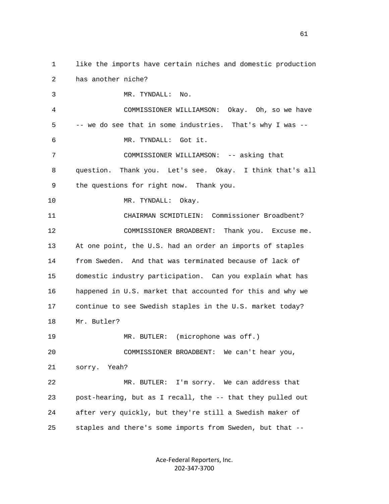2 has another niche? 3 MR. TYNDALL: No. 4 COMMISSIONER WILLIAMSON: Okay. Oh, so we have 5 -- we do see that in some industries. That's why I was -- 6 MR. TYNDALL: Got it. 7 COMMISSIONER WILLIAMSON: -- asking that 8 question. Thank you. Let's see. Okay. I think that's all 9 the questions for right now. Thank you. 10 MR. TYNDALL: Okay. 11 CHAIRMAN SCMIDTLEIN: Commissioner Broadbent? 12 COMMISSIONER BROADBENT: Thank you. Excuse me. 13 At one point, the U.S. had an order an imports of staples 14 from Sweden. And that was terminated because of lack of

1 like the imports have certain niches and domestic production

 15 domestic industry participation. Can you explain what has 16 happened in U.S. market that accounted for this and why we 17 continue to see Swedish staples in the U.S. market today? 18 Mr. Butler?

19 MR. BUTLER: (microphone was off.) 20 COMMISSIONER BROADBENT: We can't hear you, 21 sorry. Yeah? 22 MR. BUTLER: I'm sorry. We can address that

 23 post-hearing, but as I recall, the -- that they pulled out 24 after very quickly, but they're still a Swedish maker of 25 staples and there's some imports from Sweden, but that --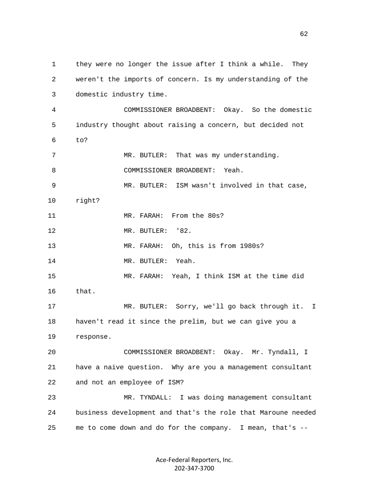1 they were no longer the issue after I think a while. They 2 weren't the imports of concern. Is my understanding of the 3 domestic industry time. 4 COMMISSIONER BROADBENT: Okay. So the domestic 5 industry thought about raising a concern, but decided not 6 to? 7 MR. BUTLER: That was my understanding. 8 COMMISSIONER BROADBENT: Yeah. 9 MR. BUTLER: ISM wasn't involved in that case, 10 right? 11 MR. FARAH: From the 80s? 12 MR. BUTLER: '82. 13 MR. FARAH: Oh, this is from 1980s? 14 MR. BUTLER: Yeah. 15 MR. FARAH: Yeah, I think ISM at the time did 16 that. 17 MR. BUTLER: Sorry, we'll go back through it. I 18 haven't read it since the prelim, but we can give you a 19 response. 20 COMMISSIONER BROADBENT: Okay. Mr. Tyndall, I 21 have a naive question. Why are you a management consultant 22 and not an employee of ISM? 23 MR. TYNDALL: I was doing management consultant 24 business development and that's the role that Maroune needed 25 me to come down and do for the company. I mean, that's --

> Ace-Federal Reporters, Inc. 202-347-3700

 $\sim$  62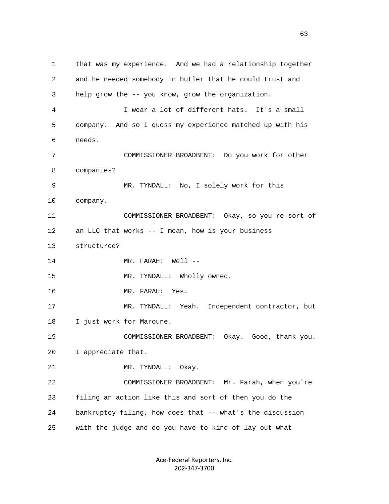1 that was my experience. And we had a relationship together 2 and he needed somebody in butler that he could trust and 3 help grow the -- you know, grow the organization. 4 I wear a lot of different hats. It's a small 5 company. And so I guess my experience matched up with his 6 needs. 7 COMMISSIONER BROADBENT: Do you work for other 8 companies? 9 MR. TYNDALL: No, I solely work for this 10 company. 11 COMMISSIONER BROADBENT: Okay, so you're sort of 12 an LLC that works -- I mean, how is your business 13 structured? 14 MR. FARAH: Well --15 MR. TYNDALL: Wholly owned. 16 MR. FARAH: Yes. 17 MR. TYNDALL: Yeah. Independent contractor, but 18 I just work for Maroune. 19 COMMISSIONER BROADBENT: Okay. Good, thank you. 20 I appreciate that. 21 MR. TYNDALL: Okay. 22 COMMISSIONER BROADBENT: Mr. Farah, when you're 23 filing an action like this and sort of then you do the 24 bankruptcy filing, how does that -- what's the discussion 25 with the judge and do you have to kind of lay out what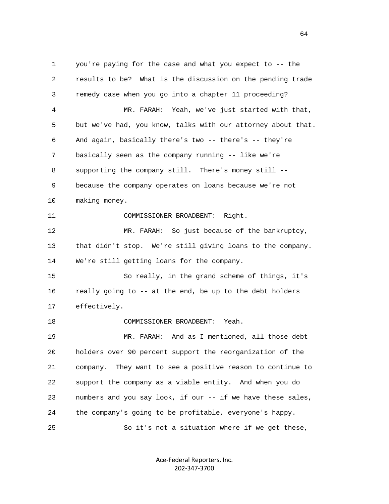1 you're paying for the case and what you expect to -- the 2 results to be? What is the discussion on the pending trade 3 remedy case when you go into a chapter 11 proceeding? 4 MR. FARAH: Yeah, we've just started with that, 5 but we've had, you know, talks with our attorney about that. 6 And again, basically there's two -- there's -- they're 7 basically seen as the company running -- like we're 8 supporting the company still. There's money still -- 9 because the company operates on loans because we're not 10 making money. 11 COMMISSIONER BROADBENT: Right. 12 MR. FARAH: So just because of the bankruptcy, 13 that didn't stop. We're still giving loans to the company. 14 We're still getting loans for the company. 15 So really, in the grand scheme of things, it's 16 really going to -- at the end, be up to the debt holders 17 effectively. 18 COMMISSIONER BROADBENT: Yeah. 19 MR. FARAH: And as I mentioned, all those debt 20 holders over 90 percent support the reorganization of the 21 company. They want to see a positive reason to continue to 22 support the company as a viable entity. And when you do 23 numbers and you say look, if our -- if we have these sales, 24 the company's going to be profitable, everyone's happy. 25 So it's not a situation where if we get these,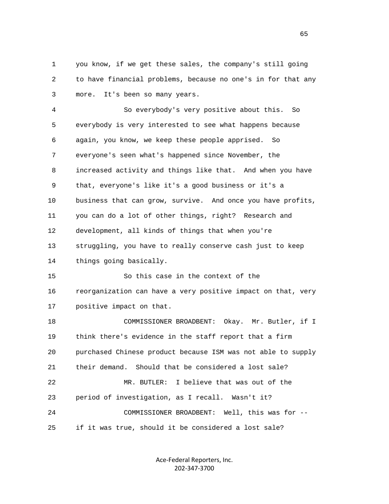1 you know, if we get these sales, the company's still going 2 to have financial problems, because no one's in for that any 3 more. It's been so many years.

 4 So everybody's very positive about this. So 5 everybody is very interested to see what happens because 6 again, you know, we keep these people apprised. So 7 everyone's seen what's happened since November, the 8 increased activity and things like that. And when you have 9 that, everyone's like it's a good business or it's a 10 business that can grow, survive. And once you have profits, 11 you can do a lot of other things, right? Research and 12 development, all kinds of things that when you're 13 struggling, you have to really conserve cash just to keep 14 things going basically. 15 So this case in the context of the 16 reorganization can have a very positive impact on that, very 17 positive impact on that. 18 COMMISSIONER BROADBENT: Okay. Mr. Butler, if I 19 think there's evidence in the staff report that a firm 20 purchased Chinese product because ISM was not able to supply 21 their demand. Should that be considered a lost sale? 22 MR. BUTLER: I believe that was out of the

 23 period of investigation, as I recall. Wasn't it? 24 COMMISSIONER BROADBENT: Well, this was for -- 25 if it was true, should it be considered a lost sale?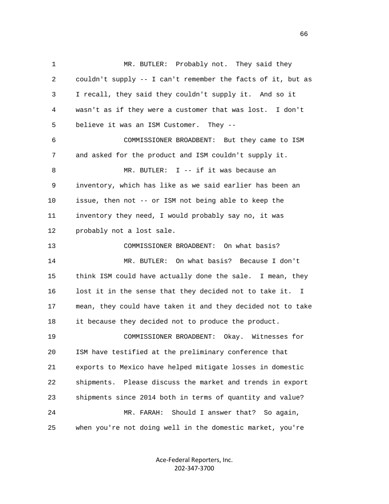1 MR. BUTLER: Probably not. They said they 2 couldn't supply -- I can't remember the facts of it, but as 3 I recall, they said they couldn't supply it. And so it 4 wasn't as if they were a customer that was lost. I don't 5 believe it was an ISM Customer. They -- 6 COMMISSIONER BROADBENT: But they came to ISM 7 and asked for the product and ISM couldn't supply it. 8 MR. BUTLER: I -- if it was because an 9 inventory, which has like as we said earlier has been an 10 issue, then not -- or ISM not being able to keep the 11 inventory they need, I would probably say no, it was 12 probably not a lost sale. 13 COMMISSIONER BROADBENT: On what basis? 14 MR. BUTLER: On what basis? Because I don't 15 think ISM could have actually done the sale. I mean, they 16 lost it in the sense that they decided not to take it. I 17 mean, they could have taken it and they decided not to take 18 it because they decided not to produce the product. 19 COMMISSIONER BROADBENT: Okay. Witnesses for 20 ISM have testified at the preliminary conference that 21 exports to Mexico have helped mitigate losses in domestic 22 shipments. Please discuss the market and trends in export 23 shipments since 2014 both in terms of quantity and value? 24 MR. FARAH: Should I answer that? So again, 25 when you're not doing well in the domestic market, you're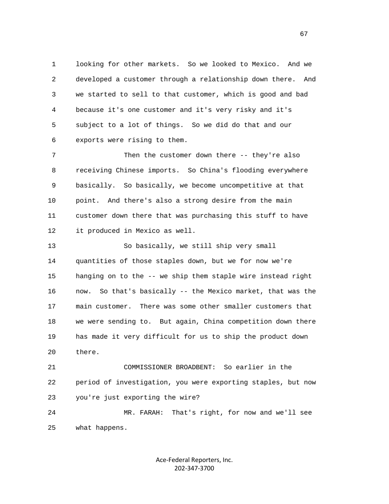1 looking for other markets. So we looked to Mexico. And we 2 developed a customer through a relationship down there. And 3 we started to sell to that customer, which is good and bad 4 because it's one customer and it's very risky and it's 5 subject to a lot of things. So we did do that and our 6 exports were rising to them.

 7 Then the customer down there -- they're also 8 receiving Chinese imports. So China's flooding everywhere 9 basically. So basically, we become uncompetitive at that 10 point. And there's also a strong desire from the main 11 customer down there that was purchasing this stuff to have 12 it produced in Mexico as well.

 13 So basically, we still ship very small 14 quantities of those staples down, but we for now we're 15 hanging on to the -- we ship them staple wire instead right 16 now. So that's basically -- the Mexico market, that was the 17 main customer. There was some other smaller customers that 18 we were sending to. But again, China competition down there 19 has made it very difficult for us to ship the product down 20 there.

 21 COMMISSIONER BROADBENT: So earlier in the 22 period of investigation, you were exporting staples, but now 23 you're just exporting the wire?

 24 MR. FARAH: That's right, for now and we'll see 25 what happens.

> Ace-Federal Reporters, Inc. 202-347-3700

 $\sim$  67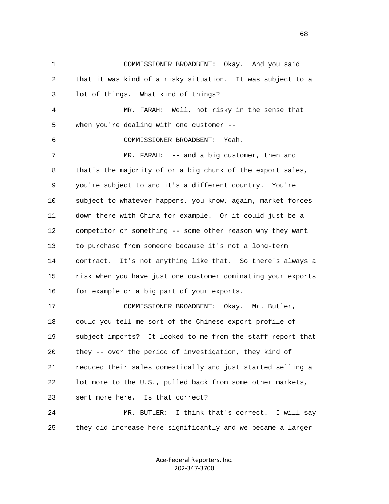1 COMMISSIONER BROADBENT: Okay. And you said 2 that it was kind of a risky situation. It was subject to a 3 lot of things. What kind of things? 4 MR. FARAH: Well, not risky in the sense that 5 when you're dealing with one customer -- 6 COMMISSIONER BROADBENT: Yeah. 7 MR. FARAH: -- and a big customer, then and 8 that's the majority of or a big chunk of the export sales, 9 you're subject to and it's a different country. You're 10 subject to whatever happens, you know, again, market forces 11 down there with China for example. Or it could just be a 12 competitor or something -- some other reason why they want 13 to purchase from someone because it's not a long-term 14 contract. It's not anything like that. So there's always a 15 risk when you have just one customer dominating your exports 16 for example or a big part of your exports. 17 COMMISSIONER BROADBENT: Okay. Mr. Butler, 18 could you tell me sort of the Chinese export profile of 19 subject imports? It looked to me from the staff report that 20 they -- over the period of investigation, they kind of 21 reduced their sales domestically and just started selling a 22 lot more to the U.S., pulled back from some other markets, 23 sent more here. Is that correct? 24 MR. BUTLER: I think that's correct. I will say 25 they did increase here significantly and we became a larger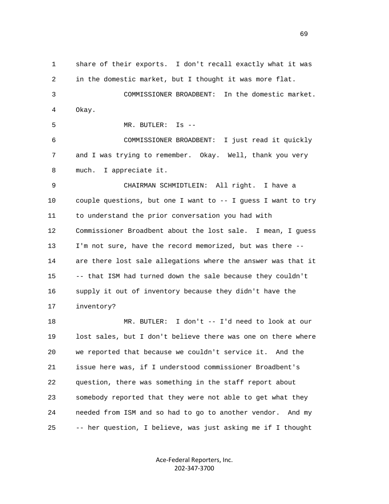1 share of their exports. I don't recall exactly what it was 2 in the domestic market, but I thought it was more flat. 3 COMMISSIONER BROADBENT: In the domestic market. 4 Okay. 5 MR. BUTLER: Is -- 6 COMMISSIONER BROADBENT: I just read it quickly 7 and I was trying to remember. Okay. Well, thank you very 8 much. I appreciate it. 9 CHAIRMAN SCHMIDTLEIN: All right. I have a 10 couple questions, but one I want to -- I guess I want to try 11 to understand the prior conversation you had with 12 Commissioner Broadbent about the lost sale. I mean, I guess 13 I'm not sure, have the record memorized, but was there -- 14 are there lost sale allegations where the answer was that it 15 -- that ISM had turned down the sale because they couldn't 16 supply it out of inventory because they didn't have the 17 inventory? 18 MR. BUTLER: I don't -- I'd need to look at our 19 lost sales, but I don't believe there was one on there where 20 we reported that because we couldn't service it. And the 21 issue here was, if I understood commissioner Broadbent's 22 question, there was something in the staff report about 23 somebody reported that they were not able to get what they 24 needed from ISM and so had to go to another vendor. And my 25 -- her question, I believe, was just asking me if I thought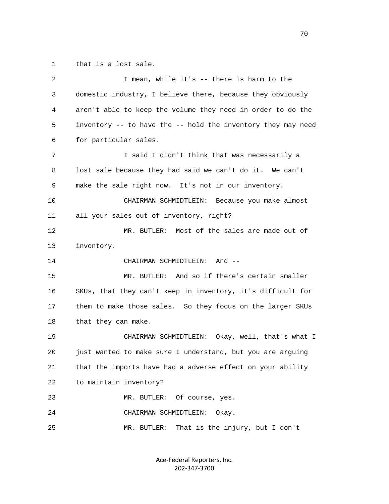1 that is a lost sale.

| 2  | I mean, while it's -- there is harm to the                   |
|----|--------------------------------------------------------------|
| 3  | domestic industry, I believe there, because they obviously   |
| 4  | aren't able to keep the volume they need in order to do the  |
| 5  | inventory -- to have the -- hold the inventory they may need |
| 6  | for particular sales.                                        |
| 7  | I said I didn't think that was necessarily a                 |
| 8  | lost sale because they had said we can't do it. We can't     |
| 9  | make the sale right now. It's not in our inventory.          |
| 10 | CHAIRMAN SCHMIDTLEIN: Because you make almost                |
| 11 | all your sales out of inventory, right?                      |
| 12 | MR. BUTLER: Most of the sales are made out of                |
| 13 | inventory.                                                   |
| 14 | CHAIRMAN SCHMIDTLEIN: And --                                 |
| 15 | MR. BUTLER: And so if there's certain smaller                |
| 16 | SKUs, that they can't keep in inventory, it's difficult for  |
| 17 | them to make those sales. So they focus on the larger SKUs   |
| 18 | that they can make.                                          |
| 19 | CHAIRMAN SCHMIDTLEIN: Okay, well, that's what I              |
| 20 | just wanted to make sure I understand, but you are arguing   |
| 21 | that the imports have had a adverse effect on your ability   |
| 22 | to maintain inventory?                                       |
| 23 | MR. BUTLER: Of course, yes.                                  |
| 24 | CHAIRMAN SCHMIDTLEIN:<br>Okay.                               |
| 25 | That is the injury, but I don't<br>MR. BUTLER:               |
|    |                                                              |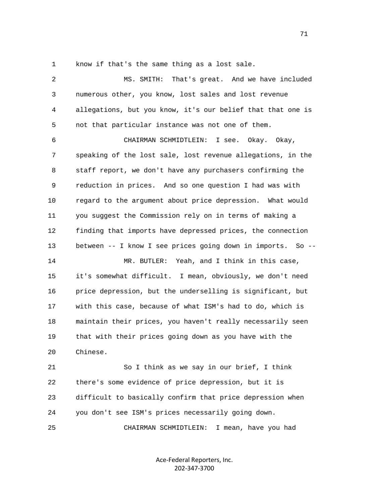1 know if that's the same thing as a lost sale.

| $\overline{a}$ | That's great. And we have included<br>MS. SMITH:            |
|----------------|-------------------------------------------------------------|
| 3              | numerous other, you know, lost sales and lost revenue       |
| 4              | allegations, but you know, it's our belief that that one is |
| 5              | not that particular instance was not one of them.           |
| 6              | CHAIRMAN SCHMIDTLEIN:<br>I see. Okay. Okay,                 |
| 7              | speaking of the lost sale, lost revenue allegations, in the |
| 8              | staff report, we don't have any purchasers confirming the   |
| 9              | reduction in prices. And so one question I had was with     |
| 10             | regard to the argument about price depression. What would   |
| 11             | you suggest the Commission rely on in terms of making a     |
| 12             | finding that imports have depressed prices, the connection  |
| 13             | between -- I know I see prices going down in imports. So -- |
| 14             | MR. BUTLER: Yeah, and I think in this case,                 |
| 15             | it's somewhat difficult. I mean, obviously, we don't need   |
| 16             | price depression, but the underselling is significant, but  |
| 17             | with this case, because of what ISM's had to do, which is   |
| 18             | maintain their prices, you haven't really necessarily seen  |
| 19             | that with their prices going down as you have with the      |
| 20             | Chinese.                                                    |
| 21             | So I think as we say in our brief, I think                  |
| 22             | there's some evidence of price depression, but it is        |
| 23             | difficult to basically confirm that price depression when   |
| 24             | you don't see ISM's prices necessarily going down.          |
| 25             | I mean, have you had<br>CHAIRMAN SCHMIDTLEIN:               |

Ace-Federal Reporters, Inc. 202-347-3700

71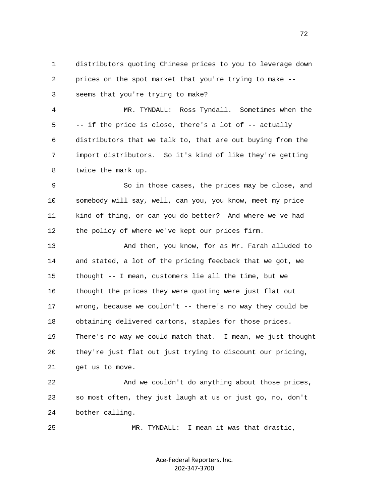1 distributors quoting Chinese prices to you to leverage down 2 prices on the spot market that you're trying to make -- 3 seems that you're trying to make?

 4 MR. TYNDALL: Ross Tyndall. Sometimes when the 5 -- if the price is close, there's a lot of -- actually 6 distributors that we talk to, that are out buying from the 7 import distributors. So it's kind of like they're getting 8 twice the mark up.

 9 So in those cases, the prices may be close, and 10 somebody will say, well, can you, you know, meet my price 11 kind of thing, or can you do better? And where we've had 12 the policy of where we've kept our prices firm.

 13 And then, you know, for as Mr. Farah alluded to 14 and stated, a lot of the pricing feedback that we got, we 15 thought -- I mean, customers lie all the time, but we 16 thought the prices they were quoting were just flat out 17 wrong, because we couldn't -- there's no way they could be 18 obtaining delivered cartons, staples for those prices. 19 There's no way we could match that. I mean, we just thought 20 they're just flat out just trying to discount our pricing, 21 get us to move.

 22 And we couldn't do anything about those prices, 23 so most often, they just laugh at us or just go, no, don't 24 bother calling.

25 MR. TYNDALL: I mean it was that drastic,

Ace-Federal Reporters, Inc. 202-347-3700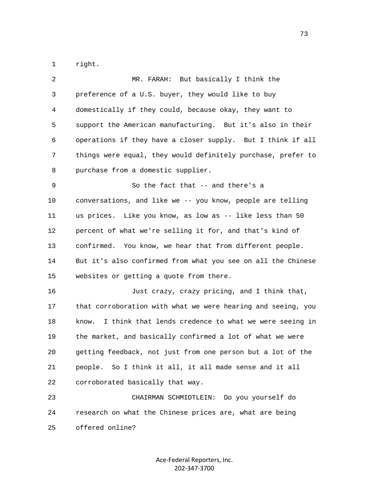1 right.

| 2  | MR. FARAH: But basically I think the                           |
|----|----------------------------------------------------------------|
| 3  | preference of a U.S. buyer, they would like to buy             |
| 4  | domestically if they could, because okay, they want to         |
| 5  | support the American manufacturing. But it's also in their     |
| 6  | operations if they have a closer supply. But I think if all    |
| 7  | things were equal, they would definitely purchase, prefer to   |
| 8  | purchase from a domestic supplier.                             |
| 9  | So the fact that -- and there's a                              |
| 10 | conversations, and like we -- you know, people are telling     |
| 11 | us prices. Like you know, as low as -- like less than 50       |
| 12 | percent of what we're selling it for, and that's kind of       |
| 13 | confirmed. You know, we hear that from different people.       |
| 14 | But it's also confirmed from what you see on all the Chinese   |
| 15 | websites or getting a quote from there.                        |
| 16 | Just crazy, crazy pricing, and I think that,                   |
| 17 | that corroboration with what we were hearing and seeing, you   |
| 18 | I think that lends credence to what we were seeing in<br>know. |
| 19 | the market, and basically confirmed a lot of what we were      |
| 20 | getting feedback, not just from one person but a lot of the    |
| 21 | people. So I think it all, it all made sense and it all        |
| 22 | corroborated basically that way.                               |
| 23 | Do you yourself do<br>CHAIRMAN SCHMIDTLEIN:                    |
| 24 | research on what the Chinese prices are, what are being        |
| 25 | offered online?                                                |

Ace-Federal Reporters, Inc. 202-347-3700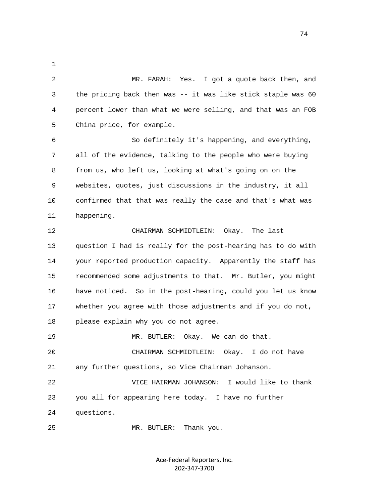2 MR. FARAH: Yes. I got a quote back then, and 3 the pricing back then was -- it was like stick staple was 60 4 percent lower than what we were selling, and that was an FOB 5 China price, for example. 6 So definitely it's happening, and everything, 7 all of the evidence, talking to the people who were buying 8 from us, who left us, looking at what's going on on the 9 websites, quotes, just discussions in the industry, it all 10 confirmed that that was really the case and that's what was 11 happening. 12 CHAIRMAN SCHMIDTLEIN: Okay. The last 13 question I had is really for the post-hearing has to do with 14 your reported production capacity. Apparently the staff has 15 recommended some adjustments to that. Mr. Butler, you might

1

 16 have noticed. So in the post-hearing, could you let us know 17 whether you agree with those adjustments and if you do not, 18 please explain why you do not agree.

19 MR. BUTLER: Okay. We can do that.

 20 CHAIRMAN SCHMIDTLEIN: Okay. I do not have 21 any further questions, so Vice Chairman Johanson.

 22 VICE HAIRMAN JOHANSON: I would like to thank 23 you all for appearing here today. I have no further 24 questions.

25 MR. BUTLER: Thank you.

Ace-Federal Reporters, Inc. 202-347-3700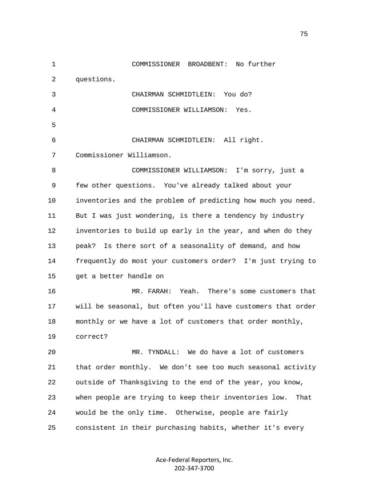1 COMMISSIONER BROADBENT: No further 2 questions. 3 CHAIRMAN SCHMIDTLEIN: You do? 4 COMMISSIONER WILLIAMSON: Yes.  $5<sub>5</sub>$  6 CHAIRMAN SCHMIDTLEIN: All right. 7 Commissioner Williamson. 8 COMMISSIONER WILLIAMSON: I'm sorry, just a 9 few other questions. You've already talked about your 10 inventories and the problem of predicting how much you need. 11 But I was just wondering, is there a tendency by industry 12 inventories to build up early in the year, and when do they 13 peak? Is there sort of a seasonality of demand, and how 14 frequently do most your customers order? I'm just trying to 15 get a better handle on 16 MR. FARAH: Yeah. There's some customers that 17 will be seasonal, but often you'll have customers that order 18 monthly or we have a lot of customers that order monthly, 19 correct? 20 MR. TYNDALL: We do have a lot of customers 21 that order monthly. We don't see too much seasonal activity 22 outside of Thanksgiving to the end of the year, you know, 23 when people are trying to keep their inventories low. That 24 would be the only time. Otherwise, people are fairly 25 consistent in their purchasing habits, whether it's every

> Ace-Federal Reporters, Inc. 202-347-3700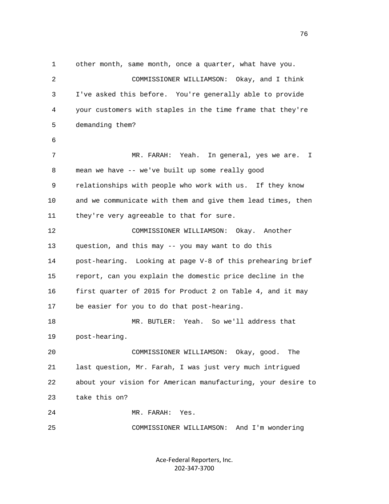1 other month, same month, once a quarter, what have you. 2 COMMISSIONER WILLIAMSON: Okay, and I think 3 I've asked this before. You're generally able to provide 4 your customers with staples in the time frame that they're 5 demanding them? 6 7 MR. FARAH: Yeah. In general, yes we are. I 8 mean we have -- we've built up some really good 9 relationships with people who work with us. If they know 10 and we communicate with them and give them lead times, then 11 they're very agreeable to that for sure. 12 COMMISSIONER WILLIAMSON: Okay. Another 13 question, and this may -- you may want to do this 14 post-hearing. Looking at page V-8 of this prehearing brief 15 report, can you explain the domestic price decline in the 16 first quarter of 2015 for Product 2 on Table 4, and it may 17 be easier for you to do that post-hearing. 18 MR. BUTLER: Yeah. So we'll address that 19 post-hearing. 20 COMMISSIONER WILLIAMSON: Okay, good. The 21 last question, Mr. Farah, I was just very much intrigued 22 about your vision for American manufacturing, your desire to 23 take this on? 24 MR. FARAH: Yes. 25 COMMISSIONER WILLIAMSON: And I'm wondering

> Ace-Federal Reporters, Inc. 202-347-3700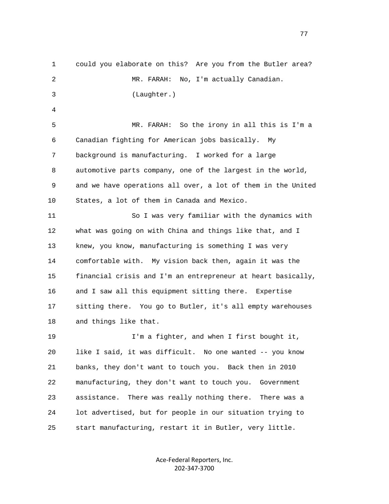1 could you elaborate on this? Are you from the Butler area? 2 MR. FARAH: No, I'm actually Canadian. 3 (Laughter.) 4 5 MR. FARAH: So the irony in all this is I'm a 6 Canadian fighting for American jobs basically. My 7 background is manufacturing. I worked for a large 8 automotive parts company, one of the largest in the world, 9 and we have operations all over, a lot of them in the United 10 States, a lot of them in Canada and Mexico. 11 So I was very familiar with the dynamics with 12 what was going on with China and things like that, and I 13 knew, you know, manufacturing is something I was very 14 comfortable with. My vision back then, again it was the 15 financial crisis and I'm an entrepreneur at heart basically, 16 and I saw all this equipment sitting there. Expertise 17 sitting there. You go to Butler, it's all empty warehouses 18 and things like that. 19 I'm a fighter, and when I first bought it, 20 like I said, it was difficult. No one wanted -- you know 21 banks, they don't want to touch you. Back then in 2010 22 manufacturing, they don't want to touch you. Government 23 assistance. There was really nothing there. There was a 24 lot advertised, but for people in our situation trying to 25 start manufacturing, restart it in Butler, very little.

> Ace-Federal Reporters, Inc. 202-347-3700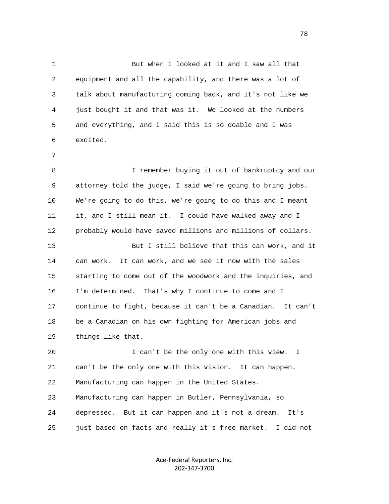1 But when I looked at it and I saw all that 2 equipment and all the capability, and there was a lot of 3 talk about manufacturing coming back, and it's not like we 4 just bought it and that was it. We looked at the numbers 5 and everything, and I said this is so doable and I was 6 excited. 7 8 I remember buying it out of bankruptcy and our 9 attorney told the judge, I said we're going to bring jobs. 10 We're going to do this, we're going to do this and I meant 11 it, and I still mean it. I could have walked away and I 12 probably would have saved millions and millions of dollars. 13 But I still believe that this can work, and it 14 can work. It can work, and we see it now with the sales 15 starting to come out of the woodwork and the inquiries, and 16 I'm determined. That's why I continue to come and I 17 continue to fight, because it can't be a Canadian. It can't 18 be a Canadian on his own fighting for American jobs and 19 things like that. 20 I can't be the only one with this view. I 21 can't be the only one with this vision. It can happen. 22 Manufacturing can happen in the United States. 23 Manufacturing can happen in Butler, Pennsylvania, so 24 depressed. But it can happen and it's not a dream. It's

> Ace-Federal Reporters, Inc. 202-347-3700

25 just based on facts and really it's free market. I did not

na na matsayin na matsayin na matsayin na matsayin na matsayin na matsayin na matsayin na matsayin na matsayin<br>Ta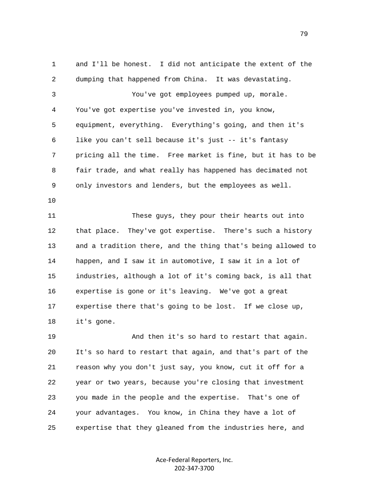1 and I'll be honest. I did not anticipate the extent of the 2 dumping that happened from China. It was devastating. 3 You've got employees pumped up, morale. 4 You've got expertise you've invested in, you know, 5 equipment, everything. Everything's going, and then it's 6 like you can't sell because it's just -- it's fantasy 7 pricing all the time. Free market is fine, but it has to be 8 fair trade, and what really has happened has decimated not 9 only investors and lenders, but the employees as well. 10 11 These guys, they pour their hearts out into 12 that place. They've got expertise. There's such a history 13 and a tradition there, and the thing that's being allowed to 14 happen, and I saw it in automotive, I saw it in a lot of 15 industries, although a lot of it's coming back, is all that 16 expertise is gone or it's leaving. We've got a great 17 expertise there that's going to be lost. If we close up, 18 it's gone. 19 And then it's so hard to restart that again.

 20 It's so hard to restart that again, and that's part of the 21 reason why you don't just say, you know, cut it off for a 22 year or two years, because you're closing that investment 23 you made in the people and the expertise. That's one of 24 your advantages. You know, in China they have a lot of 25 expertise that they gleaned from the industries here, and

> Ace-Federal Reporters, Inc. 202-347-3700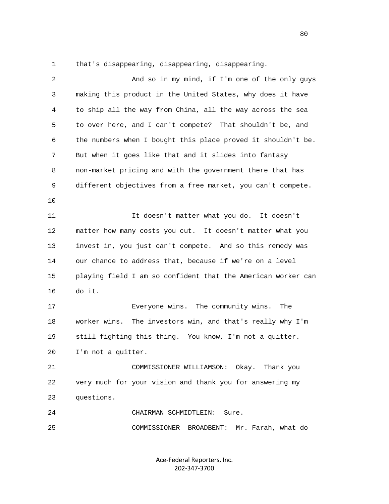1 that's disappearing, disappearing, disappearing.

| $\overline{2}$ | And so in my mind, if I'm one of the only guys               |
|----------------|--------------------------------------------------------------|
| 3              | making this product in the United States, why does it have   |
| 4              | to ship all the way from China, all the way across the sea   |
| 5              | to over here, and I can't compete? That shouldn't be, and    |
| 6              | the numbers when I bought this place proved it shouldn't be. |
| 7              | But when it goes like that and it slides into fantasy        |
| 8              | non-market pricing and with the government there that has    |
| 9              | different objectives from a free market, you can't compete.  |
| 10             |                                                              |
| 11             | It doesn't matter what you do. It doesn't                    |
| 12             | matter how many costs you cut. It doesn't matter what you    |
| 13             | invest in, you just can't compete. And so this remedy was    |
| 14             | our chance to address that, because if we're on a level      |
| 15             | playing field I am so confident that the American worker can |
| 16             | do it.                                                       |
| 17             | Everyone wins. The community wins.<br>The                    |
| 18             | worker wins.<br>The investors win, and that's really why I'm |
| 19             | still fighting this thing. You know, I'm not a quitter.      |
| 20             | I'm not a quitter.                                           |
| 21             | COMMISSIONER WILLIAMSON: Okay.<br>Thank you                  |
| 22             | very much for your vision and thank you for answering my     |
| 23             | questions.                                                   |
| 24             | CHAIRMAN SCHMIDTLEIN:<br>Sure.                               |
| 25             | Mr. Farah, what do<br>COMMISSIONER<br>BROADBENT:             |

Ace-Federal Reporters, Inc. 202-347-3700

en de la construction de la construction de la construction de la construction de la construction de la constr<br>De la construction de la construction de la construction de la construction de la construction de la construct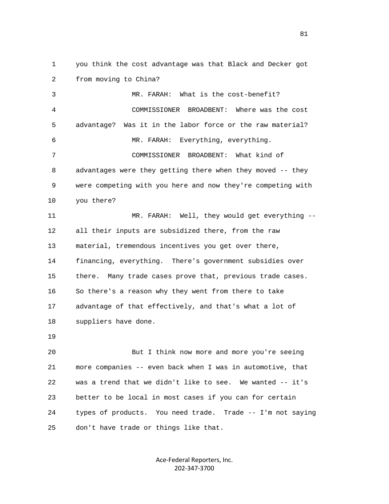1 you think the cost advantage was that Black and Decker got 2 from moving to China?

 3 MR. FARAH: What is the cost-benefit? 4 COMMISSIONER BROADBENT: Where was the cost 5 advantage? Was it in the labor force or the raw material? 6 MR. FARAH: Everything, everything. 7 COMMISSIONER BROADBENT: What kind of 8 advantages were they getting there when they moved -- they 9 were competing with you here and now they're competing with 10 you there? 11 MR. FARAH: Well, they would get everything -- 12 all their inputs are subsidized there, from the raw 13 material, tremendous incentives you get over there, 14 financing, everything. There's government subsidies over 15 there. Many trade cases prove that, previous trade cases. 16 So there's a reason why they went from there to take 17 advantage of that effectively, and that's what a lot of 18 suppliers have done. 19 20 But I think now more and more you're seeing 21 more companies -- even back when I was in automotive, that 22 was a trend that we didn't like to see. We wanted -- it's 23 better to be local in most cases if you can for certain

25 don't have trade or things like that.

Ace-Federal Reporters, Inc. 202-347-3700

24 types of products. You need trade. Trade -- I'm not saying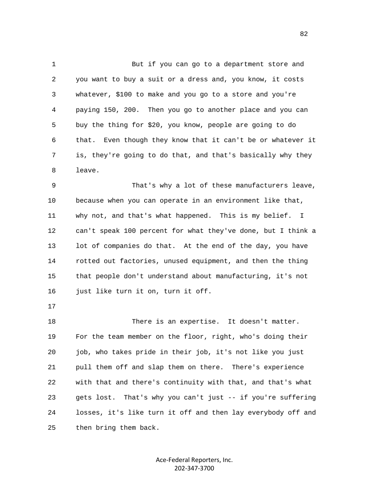1 But if you can go to a department store and 2 you want to buy a suit or a dress and, you know, it costs 3 whatever, \$100 to make and you go to a store and you're 4 paying 150, 200. Then you go to another place and you can 5 buy the thing for \$20, you know, people are going to do 6 that. Even though they know that it can't be or whatever it 7 is, they're going to do that, and that's basically why they 8 leave.

 9 That's why a lot of these manufacturers leave, 10 because when you can operate in an environment like that, 11 why not, and that's what happened. This is my belief. I 12 can't speak 100 percent for what they've done, but I think a 13 lot of companies do that. At the end of the day, you have 14 rotted out factories, unused equipment, and then the thing 15 that people don't understand about manufacturing, it's not 16 just like turn it on, turn it off.

17

18 There is an expertise. It doesn't matter. 19 For the team member on the floor, right, who's doing their 20 job, who takes pride in their job, it's not like you just 21 pull them off and slap them on there. There's experience 22 with that and there's continuity with that, and that's what 23 gets lost. That's why you can't just -- if you're suffering 24 losses, it's like turn it off and then lay everybody off and 25 then bring them back.

> Ace-Federal Reporters, Inc. 202-347-3700

en and the state of the state of the state of the state of the state of the state of the state of the state of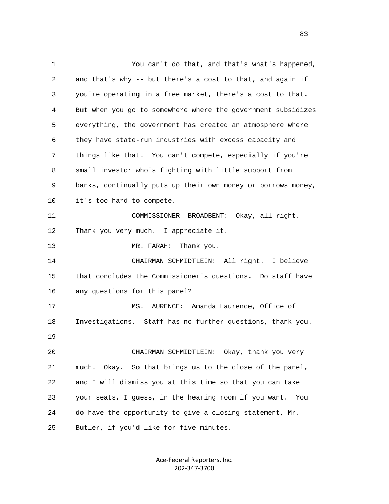1 You can't do that, and that's what's happened, 2 and that's why -- but there's a cost to that, and again if 3 you're operating in a free market, there's a cost to that. 4 But when you go to somewhere where the government subsidizes 5 everything, the government has created an atmosphere where 6 they have state-run industries with excess capacity and 7 things like that. You can't compete, especially if you're 8 small investor who's fighting with little support from 9 banks, continually puts up their own money or borrows money, 10 it's too hard to compete. 11 COMMISSIONER BROADBENT: Okay, all right. 12 Thank you very much. I appreciate it. 13 MR. FARAH: Thank you. 14 CHAIRMAN SCHMIDTLEIN: All right. I believe 15 that concludes the Commissioner's questions. Do staff have 16 any questions for this panel? 17 MS. LAURENCE: Amanda Laurence, Office of 18 Investigations. Staff has no further questions, thank you. 19 20 CHAIRMAN SCHMIDTLEIN: Okay, thank you very 21 much. Okay. So that brings us to the close of the panel, 22 and I will dismiss you at this time so that you can take 23 your seats, I guess, in the hearing room if you want. You 24 do have the opportunity to give a closing statement, Mr. 25 Butler, if you'd like for five minutes.

> Ace-Federal Reporters, Inc. 202-347-3700

experience of the contract of the contract of the contract of the contract of the contract of the contract of the contract of the contract of the contract of the contract of the contract of the contract of the contract of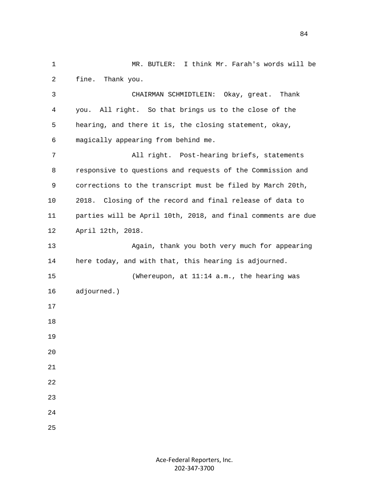1 MR. BUTLER: I think Mr. Farah's words will be 2 fine. Thank you. 3 CHAIRMAN SCHMIDTLEIN: Okay, great. Thank 4 you. All right. So that brings us to the close of the 5 hearing, and there it is, the closing statement, okay, 6 magically appearing from behind me. 7 All right. Post-hearing briefs, statements 8 responsive to questions and requests of the Commission and 9 corrections to the transcript must be filed by March 20th, 10 2018. Closing of the record and final release of data to 11 parties will be April 10th, 2018, and final comments are due 12 April 12th, 2018. 13 Again, thank you both very much for appearing 14 here today, and with that, this hearing is adjourned. 15 (Whereupon, at 11:14 a.m., the hearing was 16 adjourned.) 17 18 19 20 21 22 23 24 25